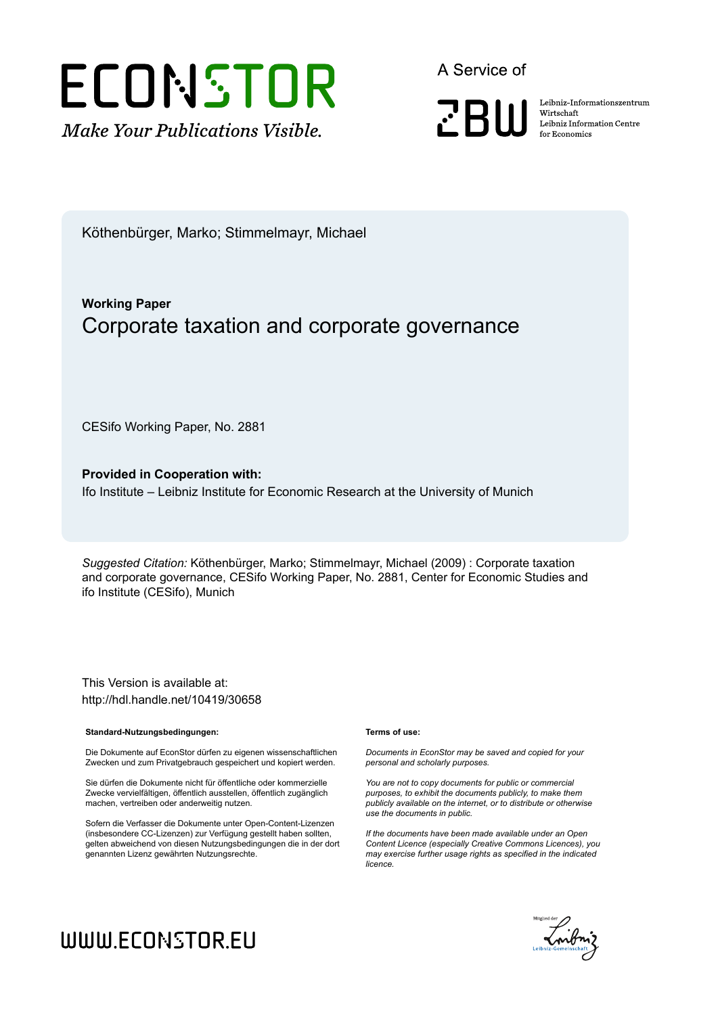

A Service of



Leibniz Informationszentrum Wirtschaft Leibniz Information Centre for Economics

Köthenbürger, Marko; Stimmelmayr, Michael

## **Working Paper** Corporate taxation and corporate governance

CESifo Working Paper, No. 2881

**Provided in Cooperation with:** Ifo Institute – Leibniz Institute for Economic Research at the University of Munich

*Suggested Citation:* Köthenbürger, Marko; Stimmelmayr, Michael (2009) : Corporate taxation and corporate governance, CESifo Working Paper, No. 2881, Center for Economic Studies and ifo Institute (CESifo), Munich

This Version is available at: http://hdl.handle.net/10419/30658

#### **Standard-Nutzungsbedingungen:**

Die Dokumente auf EconStor dürfen zu eigenen wissenschaftlichen Zwecken und zum Privatgebrauch gespeichert und kopiert werden.

Sie dürfen die Dokumente nicht für öffentliche oder kommerzielle Zwecke vervielfältigen, öffentlich ausstellen, öffentlich zugänglich machen, vertreiben oder anderweitig nutzen.

Sofern die Verfasser die Dokumente unter Open-Content-Lizenzen (insbesondere CC-Lizenzen) zur Verfügung gestellt haben sollten, gelten abweichend von diesen Nutzungsbedingungen die in der dort genannten Lizenz gewährten Nutzungsrechte.

#### **Terms of use:**

*Documents in EconStor may be saved and copied for your personal and scholarly purposes.*

*You are not to copy documents for public or commercial purposes, to exhibit the documents publicly, to make them publicly available on the internet, or to distribute or otherwise use the documents in public.*

*If the documents have been made available under an Open Content Licence (especially Creative Commons Licences), you may exercise further usage rights as specified in the indicated licence.*



# WWW.ECONSTOR.EU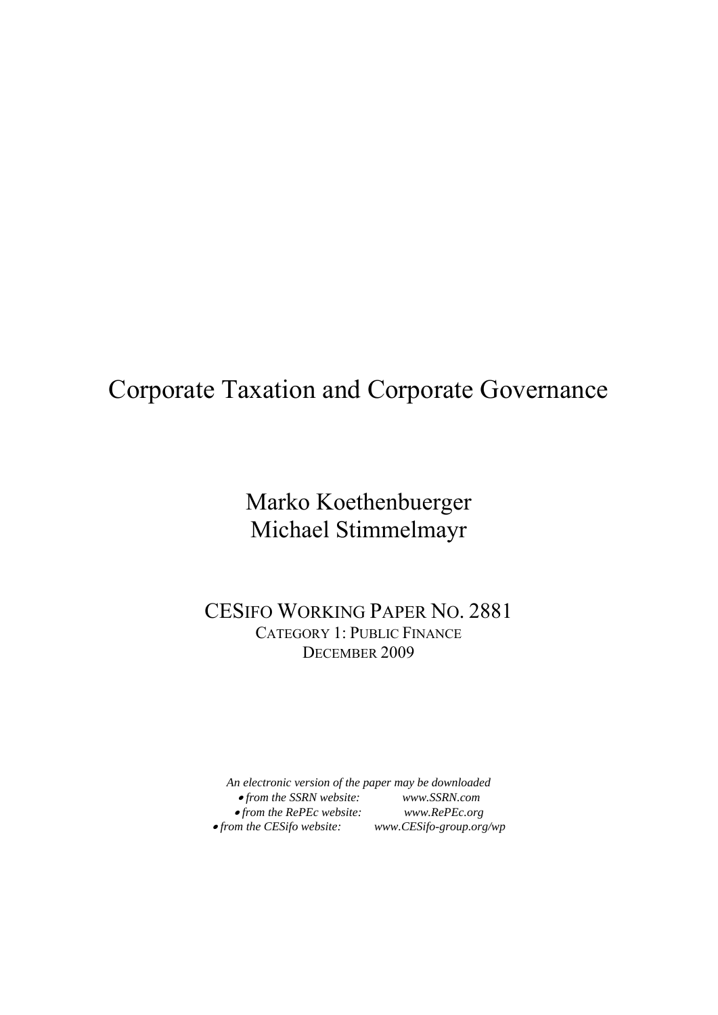## Corporate Taxation and Corporate Governance

## Marko Koethenbuerger Michael Stimmelmayr

CESIFO WORKING PAPER NO. 2881 CATEGORY 1: PUBLIC FINANCE DECEMBER 2009

*An electronic version of the paper may be downloaded*  • *from the SSRN website: www.SSRN.com*  • *from the RePEc website: www.RePEc.org*  •*from the CESifo website: www.CESifo-group.org/wp*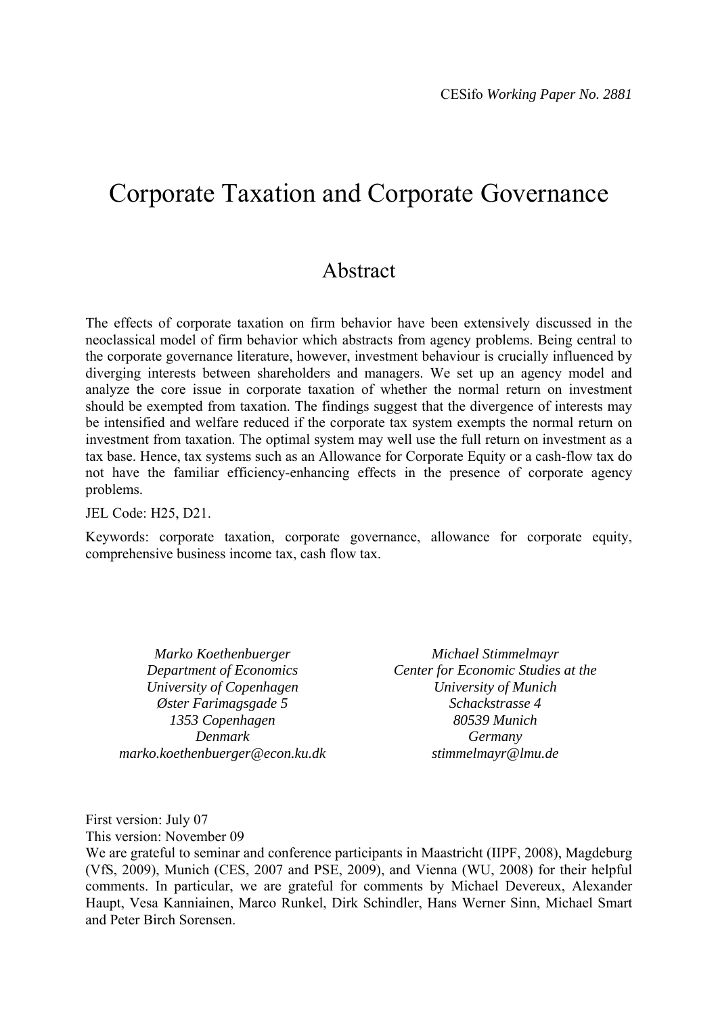## Corporate Taxation and Corporate Governance

## Abstract

The effects of corporate taxation on firm behavior have been extensively discussed in the neoclassical model of firm behavior which abstracts from agency problems. Being central to the corporate governance literature, however, investment behaviour is crucially influenced by diverging interests between shareholders and managers. We set up an agency model and analyze the core issue in corporate taxation of whether the normal return on investment should be exempted from taxation. The findings suggest that the divergence of interests may be intensified and welfare reduced if the corporate tax system exempts the normal return on investment from taxation. The optimal system may well use the full return on investment as a tax base. Hence, tax systems such as an Allowance for Corporate Equity or a cash-flow tax do not have the familiar efficiency-enhancing effects in the presence of corporate agency problems.

JEL Code: H25, D21.

Keywords: corporate taxation, corporate governance, allowance for corporate equity, comprehensive business income tax, cash flow tax.

*Marko Koethenbuerger Department of Economics University of Copenhagen Øster Farimagsgade 5 1353 Copenhagen Denmark marko.koethenbuerger@econ.ku.dk* 

*Michael Stimmelmayr Center for Economic Studies at the University of Munich Schackstrasse 4 80539 Munich Germany stimmelmayr@lmu.de* 

First version: July 07

This version: November 09

We are grateful to seminar and conference participants in Maastricht (IIPF, 2008), Magdeburg (VfS, 2009), Munich (CES, 2007 and PSE, 2009), and Vienna (WU, 2008) for their helpful comments. In particular, we are grateful for comments by Michael Devereux, Alexander Haupt, Vesa Kanniainen, Marco Runkel, Dirk Schindler, Hans Werner Sinn, Michael Smart and Peter Birch Sorensen.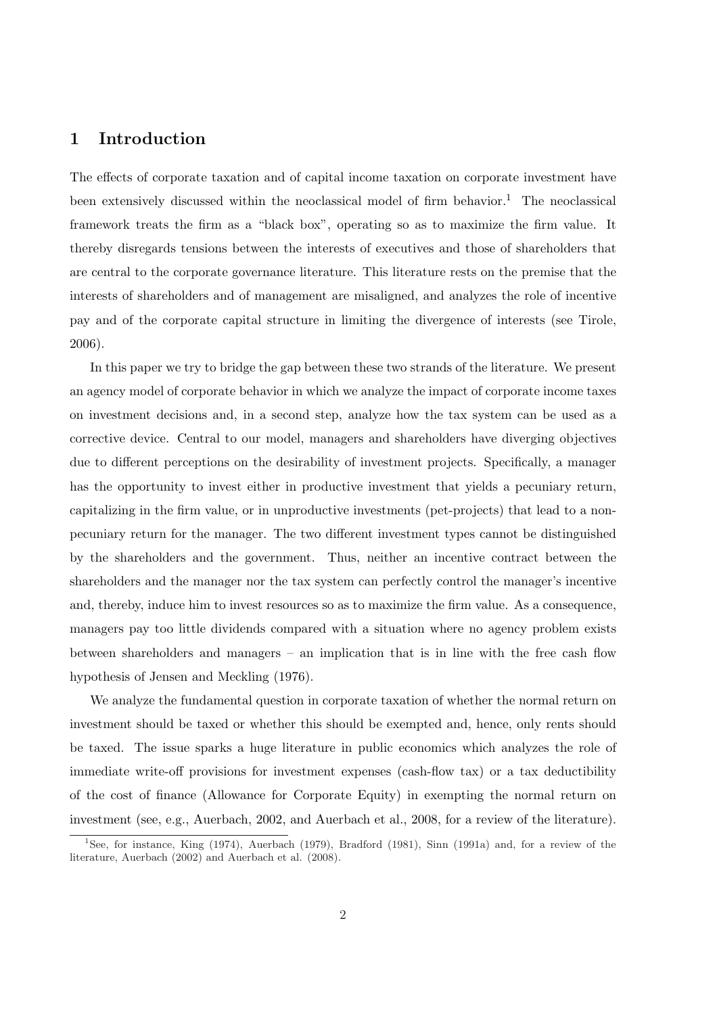## 1 Introduction

The effects of corporate taxation and of capital income taxation on corporate investment have been extensively discussed within the neoclassical model of firm behavior.<sup>1</sup> The neoclassical framework treats the firm as a "black box", operating so as to maximize the firm value. It thereby disregards tensions between the interests of executives and those of shareholders that are central to the corporate governance literature. This literature rests on the premise that the interests of shareholders and of management are misaligned, and analyzes the role of incentive pay and of the corporate capital structure in limiting the divergence of interests (see Tirole, 2006).

In this paper we try to bridge the gap between these two strands of the literature. We present an agency model of corporate behavior in which we analyze the impact of corporate income taxes on investment decisions and, in a second step, analyze how the tax system can be used as a corrective device. Central to our model, managers and shareholders have diverging objectives due to different perceptions on the desirability of investment projects. Specifically, a manager has the opportunity to invest either in productive investment that yields a pecuniary return, capitalizing in the firm value, or in unproductive investments (pet-projects) that lead to a nonpecuniary return for the manager. The two different investment types cannot be distinguished by the shareholders and the government. Thus, neither an incentive contract between the shareholders and the manager nor the tax system can perfectly control the manager's incentive and, thereby, induce him to invest resources so as to maximize the firm value. As a consequence, managers pay too little dividends compared with a situation where no agency problem exists between shareholders and managers – an implication that is in line with the free cash flow hypothesis of Jensen and Meckling (1976).

We analyze the fundamental question in corporate taxation of whether the normal return on investment should be taxed or whether this should be exempted and, hence, only rents should be taxed. The issue sparks a huge literature in public economics which analyzes the role of immediate write-off provisions for investment expenses (cash-flow tax) or a tax deductibility of the cost of finance (Allowance for Corporate Equity) in exempting the normal return on investment (see, e.g., Auerbach, 2002, and Auerbach et al., 2008, for a review of the literature).

<sup>&</sup>lt;sup>1</sup>See, for instance, King (1974), Auerbach (1979), Bradford (1981), Sinn (1991a) and, for a review of the literature, Auerbach (2002) and Auerbach et al. (2008).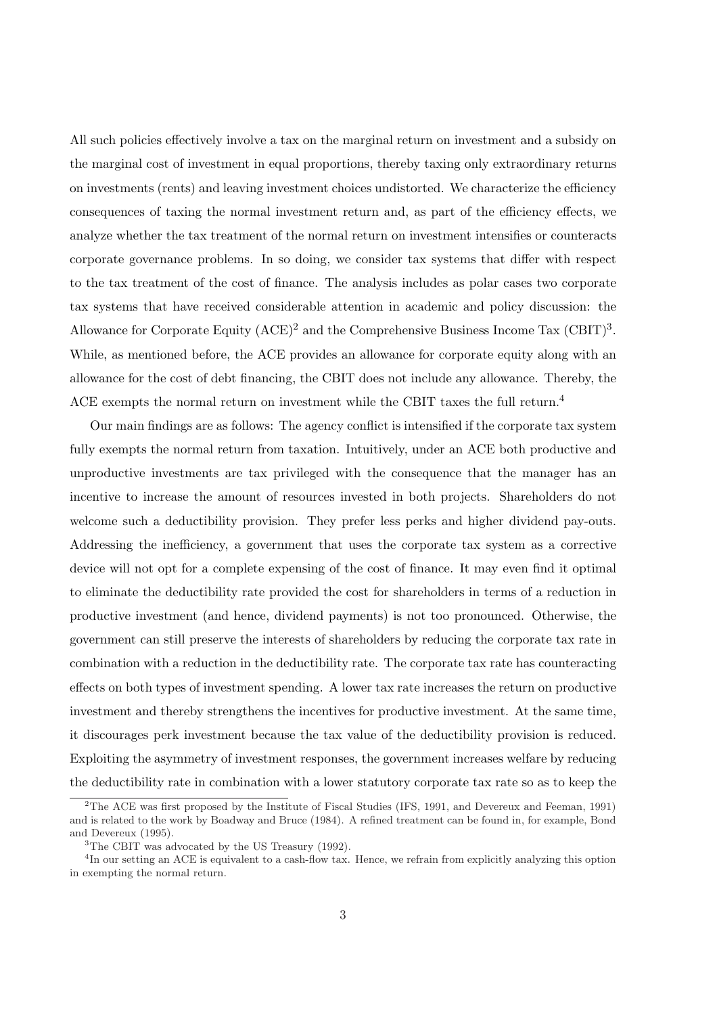All such policies effectively involve a tax on the marginal return on investment and a subsidy on the marginal cost of investment in equal proportions, thereby taxing only extraordinary returns on investments (rents) and leaving investment choices undistorted. We characterize the efficiency consequences of taxing the normal investment return and, as part of the efficiency effects, we analyze whether the tax treatment of the normal return on investment intensifies or counteracts corporate governance problems. In so doing, we consider tax systems that differ with respect to the tax treatment of the cost of finance. The analysis includes as polar cases two corporate tax systems that have received considerable attention in academic and policy discussion: the Allowance for Corporate Equity  $(ACE)^2$  and the Comprehensive Business Income Tax  $(CBIT)^3$ . While, as mentioned before, the ACE provides an allowance for corporate equity along with an allowance for the cost of debt financing, the CBIT does not include any allowance. Thereby, the ACE exempts the normal return on investment while the CBIT taxes the full return.<sup>4</sup>

Our main findings are as follows: The agency conflict is intensified if the corporate tax system fully exempts the normal return from taxation. Intuitively, under an ACE both productive and unproductive investments are tax privileged with the consequence that the manager has an incentive to increase the amount of resources invested in both projects. Shareholders do not welcome such a deductibility provision. They prefer less perks and higher dividend pay-outs. Addressing the inefficiency, a government that uses the corporate tax system as a corrective device will not opt for a complete expensing of the cost of finance. It may even find it optimal to eliminate the deductibility rate provided the cost for shareholders in terms of a reduction in productive investment (and hence, dividend payments) is not too pronounced. Otherwise, the government can still preserve the interests of shareholders by reducing the corporate tax rate in combination with a reduction in the deductibility rate. The corporate tax rate has counteracting effects on both types of investment spending. A lower tax rate increases the return on productive investment and thereby strengthens the incentives for productive investment. At the same time, it discourages perk investment because the tax value of the deductibility provision is reduced. Exploiting the asymmetry of investment responses, the government increases welfare by reducing the deductibility rate in combination with a lower statutory corporate tax rate so as to keep the

<sup>&</sup>lt;sup>2</sup>The ACE was first proposed by the Institute of Fiscal Studies (IFS, 1991, and Devereux and Feeman, 1991) and is related to the work by Boadway and Bruce (1984). A refined treatment can be found in, for example, Bond and Devereux (1995).

<sup>&</sup>lt;sup>3</sup>The CBIT was advocated by the US Treasury (1992).

<sup>&</sup>lt;sup>4</sup>In our setting an ACE is equivalent to a cash-flow tax. Hence, we refrain from explicitly analyzing this option in exempting the normal return.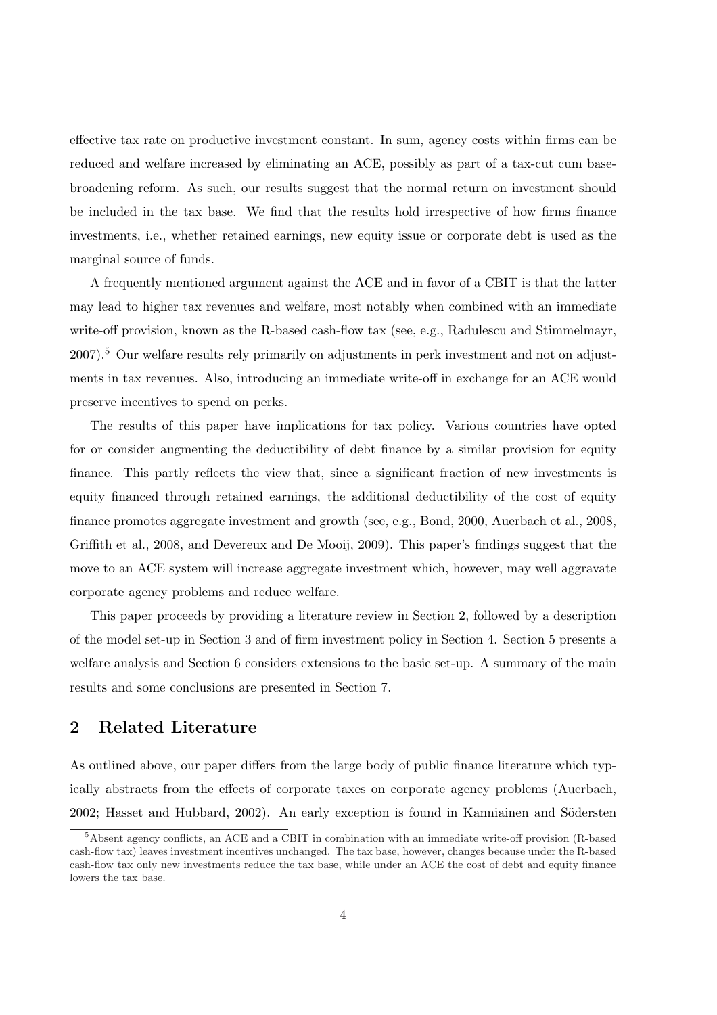effective tax rate on productive investment constant. In sum, agency costs within firms can be reduced and welfare increased by eliminating an ACE, possibly as part of a tax-cut cum basebroadening reform. As such, our results suggest that the normal return on investment should be included in the tax base. We find that the results hold irrespective of how firms finance investments, i.e., whether retained earnings, new equity issue or corporate debt is used as the marginal source of funds.

A frequently mentioned argument against the ACE and in favor of a CBIT is that the latter may lead to higher tax revenues and welfare, most notably when combined with an immediate write-off provision, known as the R-based cash-flow tax (see, e.g., Radulescu and Stimmelmayr, 2007).<sup>5</sup> Our welfare results rely primarily on adjustments in perk investment and not on adjustments in tax revenues. Also, introducing an immediate write-off in exchange for an ACE would preserve incentives to spend on perks.

The results of this paper have implications for tax policy. Various countries have opted for or consider augmenting the deductibility of debt finance by a similar provision for equity finance. This partly reflects the view that, since a significant fraction of new investments is equity financed through retained earnings, the additional deductibility of the cost of equity finance promotes aggregate investment and growth (see, e.g., Bond, 2000, Auerbach et al., 2008, Griffith et al., 2008, and Devereux and De Mooij, 2009). This paper's findings suggest that the move to an ACE system will increase aggregate investment which, however, may well aggravate corporate agency problems and reduce welfare.

This paper proceeds by providing a literature review in Section 2, followed by a description of the model set-up in Section 3 and of firm investment policy in Section 4. Section 5 presents a welfare analysis and Section 6 considers extensions to the basic set-up. A summary of the main results and some conclusions are presented in Section 7.

## 2 Related Literature

As outlined above, our paper differs from the large body of public finance literature which typically abstracts from the effects of corporate taxes on corporate agency problems (Auerbach, 2002; Hasset and Hubbard, 2002). An early exception is found in Kanniainen and Södersten

<sup>5</sup>Absent agency conflicts, an ACE and a CBIT in combination with an immediate write-off provision (R-based cash-flow tax) leaves investment incentives unchanged. The tax base, however, changes because under the R-based cash-flow tax only new investments reduce the tax base, while under an ACE the cost of debt and equity finance lowers the tax base.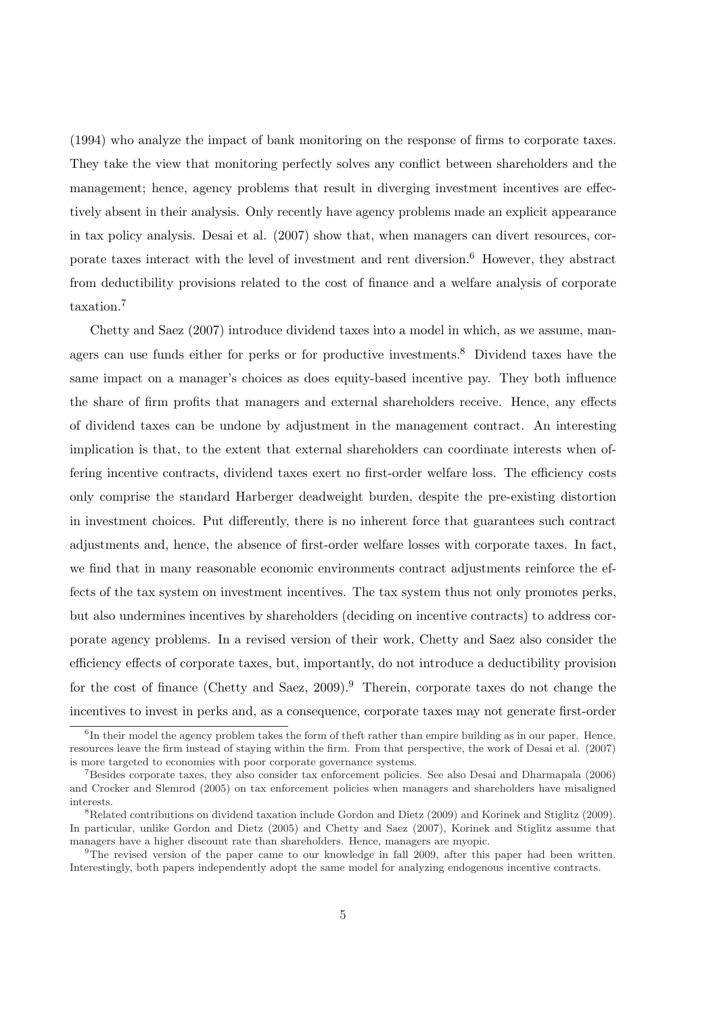(1994) who analyze the impact of bank monitoring on the response of firms to corporate taxes. They take the view that monitoring perfectly solves any conflict between shareholders and the management; hence, agency problems that result in diverging investment incentives are effectively absent in their analysis. Only recently have agency problems made an explicit appearance in tax policy analysis. Desai et al. (2007) show that, when managers can divert resources, corporate taxes interact with the level of investment and rent diversion.<sup>6</sup> However, they abstract from deductibility provisions related to the cost of finance and a welfare analysis of corporate taxation.<sup>7</sup>

Chetty and Saez (2007) introduce dividend taxes into a model in which, as we assume, managers can use funds either for perks or for productive investments.<sup>8</sup> Dividend taxes have the same impact on a manager's choices as does equity-based incentive pay. They both influence the share of firm profits that managers and external shareholders receive. Hence, any effects of dividend taxes can be undone by adjustment in the management contract. An interesting implication is that, to the extent that external shareholders can coordinate interests when offering incentive contracts, dividend taxes exert no first-order welfare loss. The efficiency costs only comprise the standard Harberger deadweight burden, despite the pre-existing distortion in investment choices. Put differently, there is no inherent force that guarantees such contract adjustments and, hence, the absence of first-order welfare losses with corporate taxes. In fact, we find that in many reasonable economic environments contract adjustments reinforce the effects of the tax system on investment incentives. The tax system thus not only promotes perks, but also undermines incentives by shareholders (deciding on incentive contracts) to address corporate agency problems. In a revised version of their work, Chetty and Saez also consider the efficiency effects of corporate taxes, but, importantly, do not introduce a deductibility provision for the cost of finance (Chetty and Saez,  $2009$ ).<sup>9</sup> Therein, corporate taxes do not change the incentives to invest in perks and, as a consequence, corporate taxes may not generate first-order

<sup>&</sup>lt;sup>6</sup>In their model the agency problem takes the form of theft rather than empire building as in our paper. Hence, resources leave the firm instead of staying within the firm. From that perspective, the work of Desai et al. (2007) is more targeted to economies with poor corporate governance systems.

<sup>7</sup>Besides corporate taxes, they also consider tax enforcement policies. See also Desai and Dharmapala (2006) and Crocker and Slemrod (2005) on tax enforcement policies when managers and shareholders have misaligned interests.

<sup>8</sup>Related contributions on dividend taxation include Gordon and Dietz (2009) and Korinek and Stiglitz (2009). In particular, unlike Gordon and Dietz (2005) and Chetty and Saez (2007), Korinek and Stiglitz assume that managers have a higher discount rate than shareholders. Hence, managers are myopic.

<sup>&</sup>lt;sup>9</sup>The revised version of the paper came to our knowledge in fall 2009, after this paper had been written. Interestingly, both papers independently adopt the same model for analyzing endogenous incentive contracts.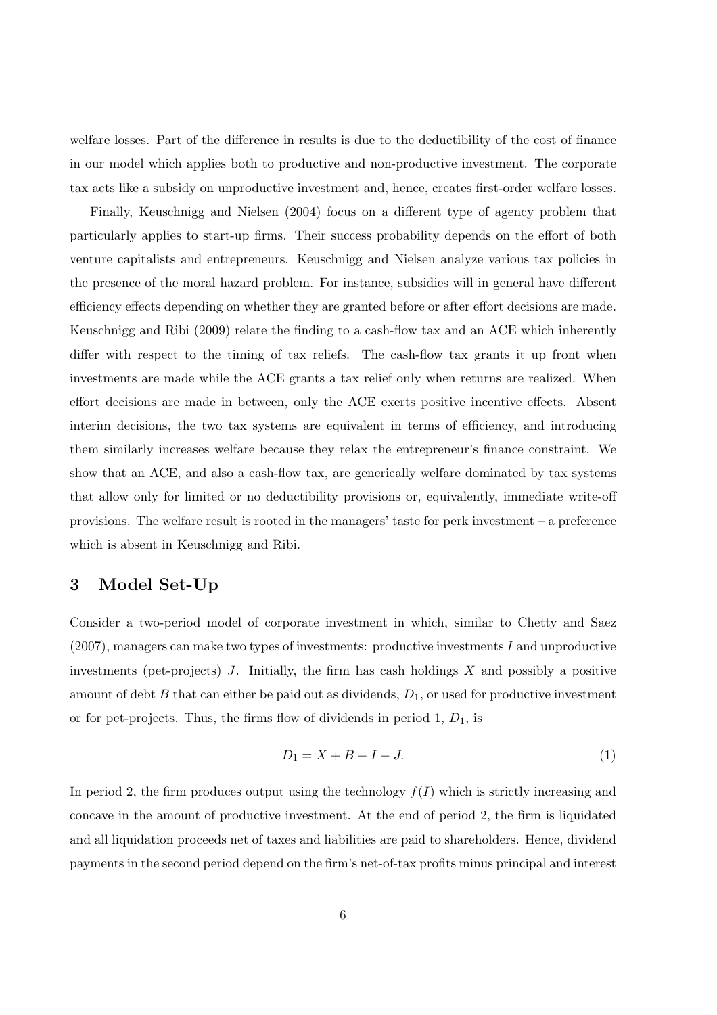welfare losses. Part of the difference in results is due to the deductibility of the cost of finance in our model which applies both to productive and non-productive investment. The corporate tax acts like a subsidy on unproductive investment and, hence, creates first-order welfare losses.

Finally, Keuschnigg and Nielsen (2004) focus on a different type of agency problem that particularly applies to start-up firms. Their success probability depends on the effort of both venture capitalists and entrepreneurs. Keuschnigg and Nielsen analyze various tax policies in the presence of the moral hazard problem. For instance, subsidies will in general have different efficiency effects depending on whether they are granted before or after effort decisions are made. Keuschnigg and Ribi (2009) relate the finding to a cash-flow tax and an ACE which inherently differ with respect to the timing of tax reliefs. The cash-flow tax grants it up front when investments are made while the ACE grants a tax relief only when returns are realized. When effort decisions are made in between, only the ACE exerts positive incentive effects. Absent interim decisions, the two tax systems are equivalent in terms of efficiency, and introducing them similarly increases welfare because they relax the entrepreneur's finance constraint. We show that an ACE, and also a cash-flow tax, are generically welfare dominated by tax systems that allow only for limited or no deductibility provisions or, equivalently, immediate write-off provisions. The welfare result is rooted in the managers' taste for perk investment – a preference which is absent in Keuschnigg and Ribi.

#### 3 Model Set-Up

Consider a two-period model of corporate investment in which, similar to Chetty and Saez (2007), managers can make two types of investments: productive investments I and unproductive investments (pet-projects)  $J$ . Initially, the firm has cash holdings  $X$  and possibly a positive amount of debt  $B$  that can either be paid out as dividends,  $D_1$ , or used for productive investment or for pet-projects. Thus, the firms flow of dividends in period  $1, D_1$ , is

$$
D_1 = X + B - I - J.\t\t(1)
$$

In period 2, the firm produces output using the technology  $f(I)$  which is strictly increasing and concave in the amount of productive investment. At the end of period 2, the firm is liquidated and all liquidation proceeds net of taxes and liabilities are paid to shareholders. Hence, dividend payments in the second period depend on the firm's net-of-tax profits minus principal and interest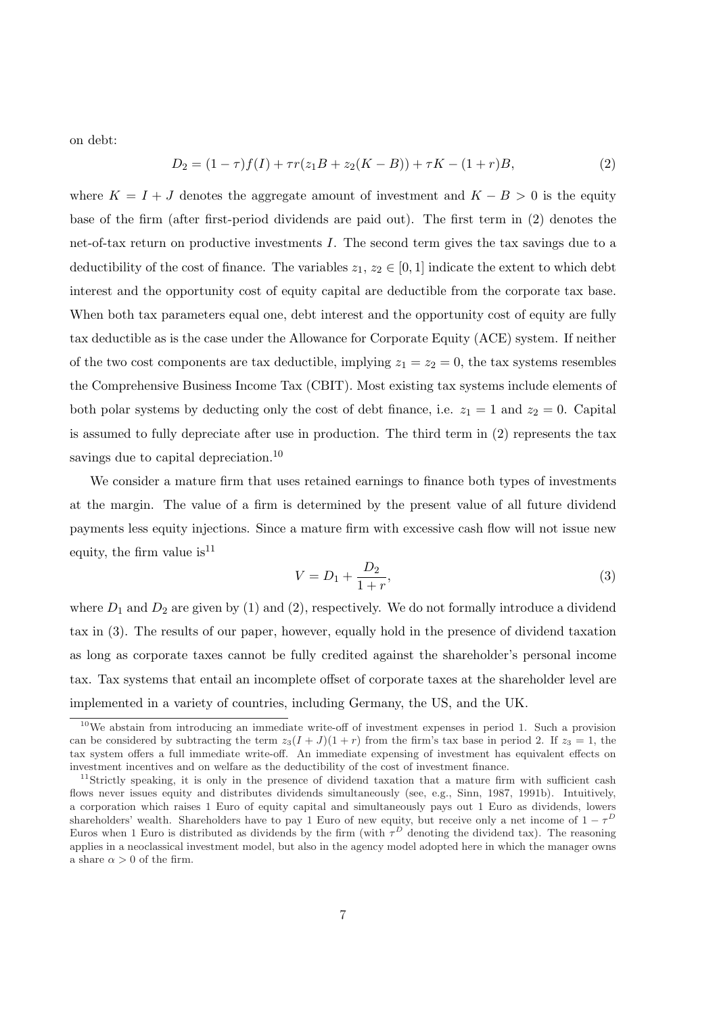on debt:

$$
D_2 = (1 - \tau)f(I) + \tau r(z_1 B + z_2 (K - B)) + \tau K - (1 + r)B,
$$
\n(2)

where  $K = I + J$  denotes the aggregate amount of investment and  $K - B > 0$  is the equity base of the firm (after first-period dividends are paid out). The first term in (2) denotes the net-of-tax return on productive investments I. The second term gives the tax savings due to a deductibility of the cost of finance. The variables  $z_1, z_2 \in [0,1]$  indicate the extent to which debt interest and the opportunity cost of equity capital are deductible from the corporate tax base. When both tax parameters equal one, debt interest and the opportunity cost of equity are fully tax deductible as is the case under the Allowance for Corporate Equity (ACE) system. If neither of the two cost components are tax deductible, implying  $z_1 = z_2 = 0$ , the tax systems resembles the Comprehensive Business Income Tax (CBIT). Most existing tax systems include elements of both polar systems by deducting only the cost of debt finance, i.e.  $z_1 = 1$  and  $z_2 = 0$ . Capital is assumed to fully depreciate after use in production. The third term in (2) represents the tax savings due to capital depreciation.<sup>10</sup>

We consider a mature firm that uses retained earnings to finance both types of investments at the margin. The value of a firm is determined by the present value of all future dividend payments less equity injections. Since a mature firm with excessive cash flow will not issue new equity, the firm value is  $11$ 

$$
V = D_1 + \frac{D_2}{1+r},\tag{3}
$$

where  $D_1$  and  $D_2$  are given by (1) and (2), respectively. We do not formally introduce a dividend tax in (3). The results of our paper, however, equally hold in the presence of dividend taxation as long as corporate taxes cannot be fully credited against the shareholder's personal income tax. Tax systems that entail an incomplete offset of corporate taxes at the shareholder level are implemented in a variety of countries, including Germany, the US, and the UK.

 $10$ We abstain from introducing an immediate write-off of investment expenses in period 1. Such a provision can be considered by subtracting the term  $z_3(I+J)(1+r)$  from the firm's tax base in period 2. If  $z_3 = 1$ , the tax system offers a full immediate write-off. An immediate expensing of investment has equivalent effects on investment incentives and on welfare as the deductibility of the cost of investment finance.

<sup>&</sup>lt;sup>11</sup>Strictly speaking, it is only in the presence of dividend taxation that a mature firm with sufficient cash flows never issues equity and distributes dividends simultaneously (see, e.g., Sinn, 1987, 1991b). Intuitively, a corporation which raises 1 Euro of equity capital and simultaneously pays out 1 Euro as dividends, lowers shareholders' wealth. Shareholders have to pay 1 Euro of new equity, but receive only a net income of  $1 - \tau^D$ Euros when 1 Euro is distributed as dividends by the firm (with  $\tau<sup>D</sup>$  denoting the dividend tax). The reasoning applies in a neoclassical investment model, but also in the agency model adopted here in which the manager owns a share  $\alpha > 0$  of the firm.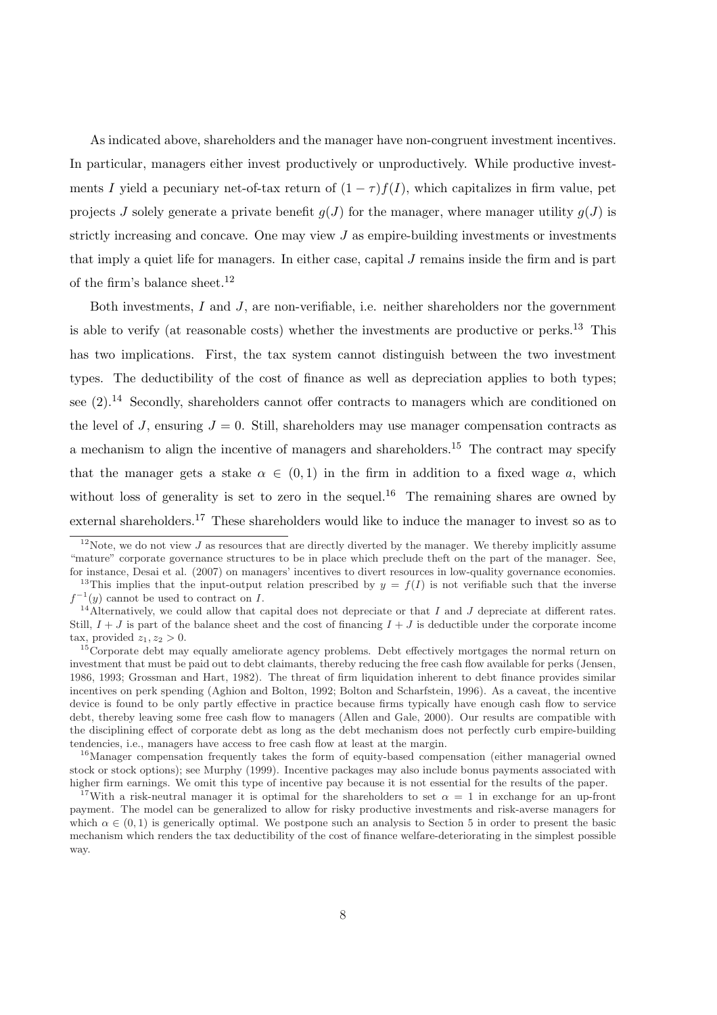As indicated above, shareholders and the manager have non-congruent investment incentives. In particular, managers either invest productively or unproductively. While productive investments I yield a pecuniary net-of-tax return of  $(1 - \tau) f(I)$ , which capitalizes in firm value, pet projects J solely generate a private benefit  $q(J)$  for the manager, where manager utility  $q(J)$  is strictly increasing and concave. One may view  $J$  as empire-building investments or investments that imply a quiet life for managers. In either case, capital  $J$  remains inside the firm and is part of the firm's balance sheet.<sup>12</sup>

Both investments, I and J, are non-verifiable, i.e. neither shareholders nor the government is able to verify (at reasonable costs) whether the investments are productive or perks.<sup>13</sup> This has two implications. First, the tax system cannot distinguish between the two investment types. The deductibility of the cost of finance as well as depreciation applies to both types; see  $(2)$ .<sup>14</sup> Secondly, shareholders cannot offer contracts to managers which are conditioned on the level of J, ensuring  $J = 0$ . Still, shareholders may use manager compensation contracts as a mechanism to align the incentive of managers and shareholders.<sup>15</sup> The contract may specify that the manager gets a stake  $\alpha \in (0,1)$  in the firm in addition to a fixed wage a, which without loss of generality is set to zero in the sequel.<sup>16</sup> The remaining shares are owned by external shareholders.<sup>17</sup> These shareholders would like to induce the manager to invest so as to

<sup>16</sup>Manager compensation frequently takes the form of equity-based compensation (either managerial owned stock or stock options); see Murphy (1999). Incentive packages may also include bonus payments associated with higher firm earnings. We omit this type of incentive pay because it is not essential for the results of the paper.

<sup>&</sup>lt;sup>12</sup>Note, we do not view J as resources that are directly diverted by the manager. We thereby implicitly assume "mature" corporate governance structures to be in place which preclude theft on the part of the manager. See, for instance, Desai et al. (2007) on managers' incentives to divert resources in low-quality governance economies.

<sup>&</sup>lt;sup>13</sup>This implies that the input-output relation prescribed by  $y = f(I)$  is not verifiable such that the inverse  $f^{-1}(y)$  cannot be used to contract on I.

<sup>&</sup>lt;sup>14</sup>Alternatively, we could allow that capital does not depreciate or that I and J depreciate at different rates. Still,  $I + J$  is part of the balance sheet and the cost of financing  $I + J$  is deductible under the corporate income tax, provided  $z_1, z_2 > 0$ .

<sup>&</sup>lt;sup>15</sup>Corporate debt may equally ameliorate agency problems. Debt effectively mortgages the normal return on investment that must be paid out to debt claimants, thereby reducing the free cash flow available for perks (Jensen, 1986, 1993; Grossman and Hart, 1982). The threat of firm liquidation inherent to debt finance provides similar incentives on perk spending (Aghion and Bolton, 1992; Bolton and Scharfstein, 1996). As a caveat, the incentive device is found to be only partly effective in practice because firms typically have enough cash flow to service debt, thereby leaving some free cash flow to managers (Allen and Gale, 2000). Our results are compatible with the disciplining effect of corporate debt as long as the debt mechanism does not perfectly curb empire-building tendencies, i.e., managers have access to free cash flow at least at the margin.

<sup>&</sup>lt;sup>17</sup>With a risk-neutral manager it is optimal for the shareholders to set  $\alpha = 1$  in exchange for an up-front payment. The model can be generalized to allow for risky productive investments and risk-averse managers for which  $\alpha \in (0, 1)$  is generically optimal. We postpone such an analysis to Section 5 in order to present the basic mechanism which renders the tax deductibility of the cost of finance welfare-deteriorating in the simplest possible way.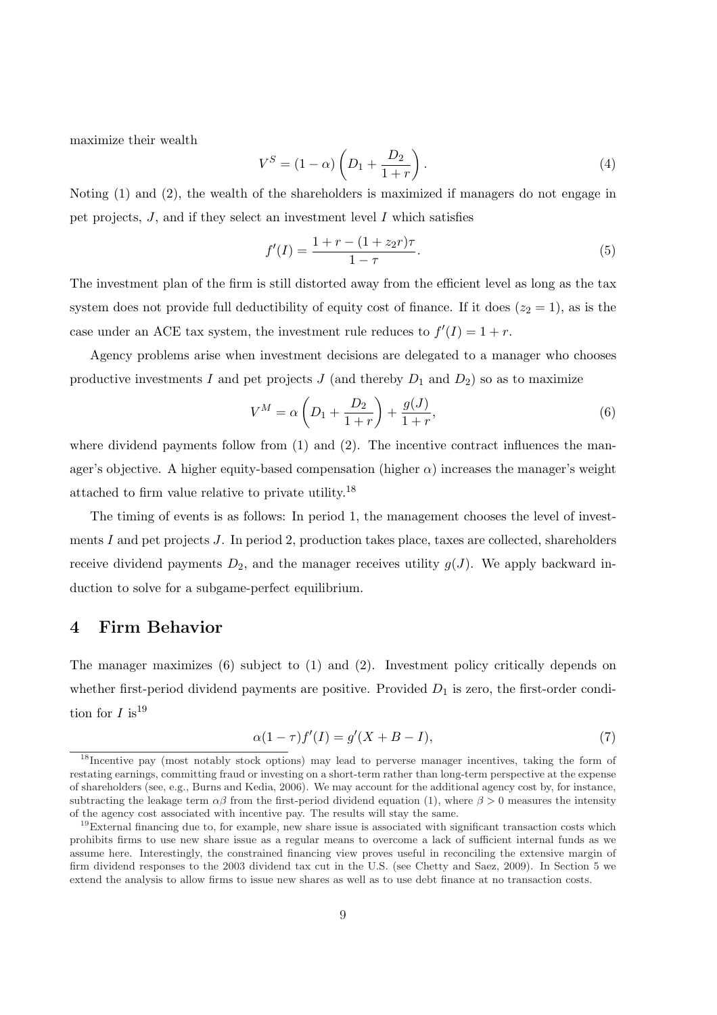maximize their wealth

$$
V^{S} = (1 - \alpha) \left( D_1 + \frac{D_2}{1+r} \right). \tag{4}
$$

Noting (1) and (2), the wealth of the shareholders is maximized if managers do not engage in pet projects,  $J$ , and if they select an investment level  $I$  which satisfies

$$
f'(I) = \frac{1 + r - (1 + z_2 r)\tau}{1 - \tau}.
$$
\n(5)

The investment plan of the firm is still distorted away from the efficient level as long as the tax system does not provide full deductibility of equity cost of finance. If it does  $(z_2 = 1)$ , as is the case under an ACE tax system, the investment rule reduces to  $f'(I) = 1 + r$ .

Agency problems arise when investment decisions are delegated to a manager who chooses productive investments I and pet projects  $J$  (and thereby  $D_1$  and  $D_2$ ) so as to maximize

$$
V^{M} = \alpha \left( D_{1} + \frac{D_{2}}{1+r} \right) + \frac{g(J)}{1+r},
$$
\n(6)

where dividend payments follow from  $(1)$  and  $(2)$ . The incentive contract influences the manager's objective. A higher equity-based compensation (higher  $\alpha$ ) increases the manager's weight attached to firm value relative to private utility.<sup>18</sup>

The timing of events is as follows: In period 1, the management chooses the level of investments I and pet projects  $J$ . In period 2, production takes place, taxes are collected, shareholders receive dividend payments  $D_2$ , and the manager receives utility  $g(J)$ . We apply backward induction to solve for a subgame-perfect equilibrium.

### 4 Firm Behavior

The manager maximizes (6) subject to (1) and (2). Investment policy critically depends on whether first-period dividend payments are positive. Provided  $D_1$  is zero, the first-order condition for  $I$  is<sup>19</sup>

$$
\alpha(1-\tau)f'(I) = g'(X+B-I),\tag{7}
$$

<sup>18</sup>Incentive pay (most notably stock options) may lead to perverse manager incentives, taking the form of restating earnings, committing fraud or investing on a short-term rather than long-term perspective at the expense of shareholders (see, e.g., Burns and Kedia, 2006). We may account for the additional agency cost by, for instance, subtracting the leakage term  $\alpha\beta$  from the first-period dividend equation (1), where  $\beta > 0$  measures the intensity of the agency cost associated with incentive pay. The results will stay the same.

 $19$ External financing due to, for example, new share issue is associated with significant transaction costs which prohibits firms to use new share issue as a regular means to overcome a lack of sufficient internal funds as we assume here. Interestingly, the constrained financing view proves useful in reconciling the extensive margin of firm dividend responses to the 2003 dividend tax cut in the U.S. (see Chetty and Saez, 2009). In Section 5 we extend the analysis to allow firms to issue new shares as well as to use debt finance at no transaction costs.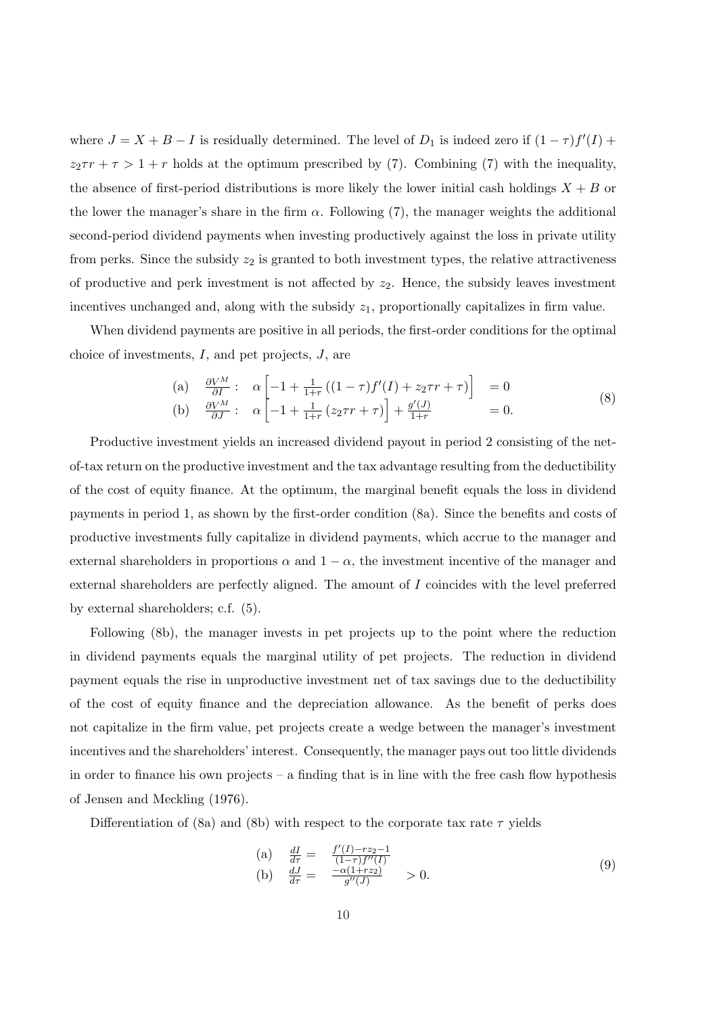where  $J = X + B - I$  is residually determined. The level of  $D_1$  is indeed zero if  $(1 - \tau) f'(I)$  +  $z_2 \tau r + \tau > 1 + r$  holds at the optimum prescribed by (7). Combining (7) with the inequality, the absence of first-period distributions is more likely the lower initial cash holdings  $X + B$  or the lower the manager's share in the firm  $\alpha$ . Following (7), the manager weights the additional second-period dividend payments when investing productively against the loss in private utility from perks. Since the subsidy  $z_2$  is granted to both investment types, the relative attractiveness of productive and perk investment is not affected by  $z_2$ . Hence, the subsidy leaves investment incentives unchanged and, along with the subsidy  $z_1$ , proportionally capitalizes in firm value.

When dividend payments are positive in all periods, the first-order conditions for the optimal choice of investments,  $I$ , and pet projects,  $J$ , are

(a) 
$$
\frac{\partial V^M}{\partial I} : \alpha \left[ -1 + \frac{1}{1+r} \left( (1-\tau) f'(I) + z_2 \tau r + \tau \right) \right] = 0
$$
  
\n(b) 
$$
\frac{\partial V^M}{\partial J} : \alpha \left[ -1 + \frac{1}{1+r} \left( z_2 \tau r + \tau \right) \right] + \frac{g'(J)}{1+r} = 0.
$$
\n(8)

Productive investment yields an increased dividend payout in period 2 consisting of the netof-tax return on the productive investment and the tax advantage resulting from the deductibility of the cost of equity finance. At the optimum, the marginal benefit equals the loss in dividend payments in period 1, as shown by the first-order condition (8a). Since the benefits and costs of productive investments fully capitalize in dividend payments, which accrue to the manager and external shareholders in proportions  $\alpha$  and  $1 - \alpha$ , the investment incentive of the manager and external shareholders are perfectly aligned. The amount of I coincides with the level preferred by external shareholders; c.f. (5).

Following (8b), the manager invests in pet projects up to the point where the reduction in dividend payments equals the marginal utility of pet projects. The reduction in dividend payment equals the rise in unproductive investment net of tax savings due to the deductibility of the cost of equity finance and the depreciation allowance. As the benefit of perks does not capitalize in the firm value, pet projects create a wedge between the manager's investment incentives and the shareholders' interest. Consequently, the manager pays out too little dividends in order to finance his own projects – a finding that is in line with the free cash flow hypothesis of Jensen and Meckling (1976).

Differentiation of (8a) and (8b) with respect to the corporate tax rate  $\tau$  yields

(a) 
$$
\frac{dI}{d\tau} = \frac{f'(I) - rz_2 - 1}{(1 - \tau)f''(I)}
$$
  
\n(b)  $\frac{dJ}{d\tau} = \frac{-\alpha(1 + rz_2)}{g''(J)} > 0.$  (9)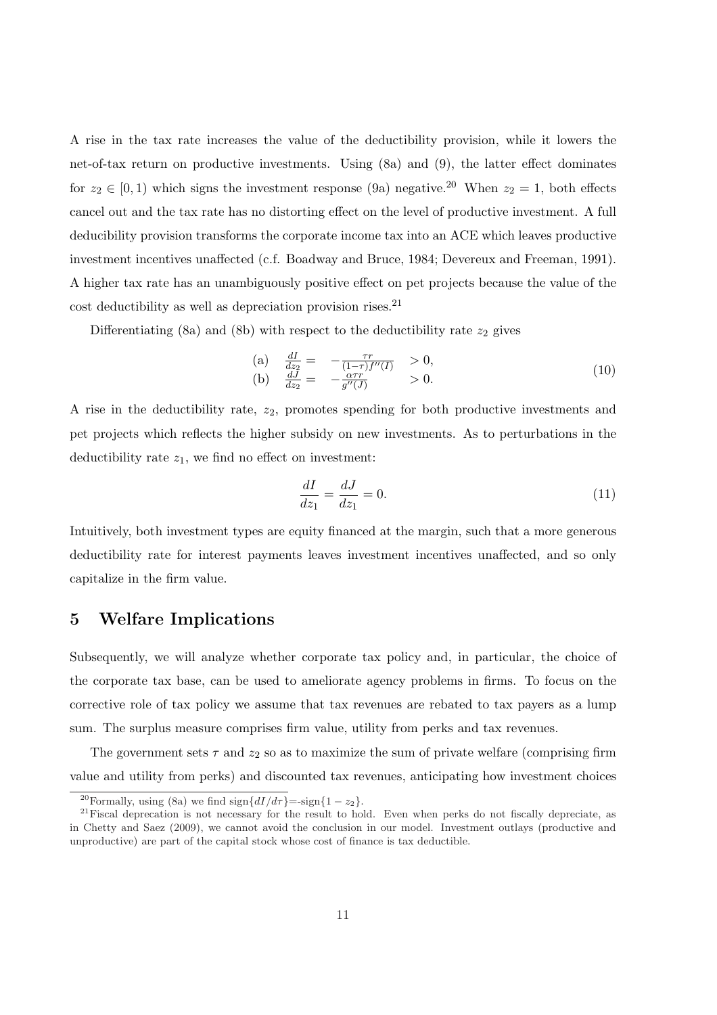A rise in the tax rate increases the value of the deductibility provision, while it lowers the net-of-tax return on productive investments. Using (8a) and (9), the latter effect dominates for  $z_2 \in [0, 1)$  which signs the investment response (9a) negative.<sup>20</sup> When  $z_2 = 1$ , both effects cancel out and the tax rate has no distorting effect on the level of productive investment. A full deducibility provision transforms the corporate income tax into an ACE which leaves productive investment incentives unaffected (c.f. Boadway and Bruce, 1984; Devereux and Freeman, 1991). A higher tax rate has an unambiguously positive effect on pet projects because the value of the  $\,$  cost deductibility as well as depreciation provision rises.  $^{21}$ 

Differentiating (8a) and (8b) with respect to the deductibility rate  $z_2$  gives

(a) 
$$
\frac{dI}{dz_2} = -\frac{\tau r}{(1-\tau)f''(I)} > 0,
$$
  
\n(b)  $\frac{dJ}{dz_2} = -\frac{\alpha \tau r}{g''(J)} > 0.$  (10)

A rise in the deductibility rate,  $z_2$ , promotes spending for both productive investments and pet projects which reflects the higher subsidy on new investments. As to perturbations in the deductibility rate  $z_1$ , we find no effect on investment:

$$
\frac{dI}{dz_1} = \frac{dJ}{dz_1} = 0.
$$
\n(11)

Intuitively, both investment types are equity financed at the margin, such that a more generous deductibility rate for interest payments leaves investment incentives unaffected, and so only capitalize in the firm value.

## 5 Welfare Implications

Subsequently, we will analyze whether corporate tax policy and, in particular, the choice of the corporate tax base, can be used to ameliorate agency problems in firms. To focus on the corrective role of tax policy we assume that tax revenues are rebated to tax payers as a lump sum. The surplus measure comprises firm value, utility from perks and tax revenues.

The government sets  $\tau$  and  $z_2$  so as to maximize the sum of private welfare (comprising firm value and utility from perks) and discounted tax revenues, anticipating how investment choices

<sup>&</sup>lt;sup>20</sup>Formally, using (8a) we find sign $\{dI/d\tau\}$ =-sign $\{1 - z_2\}$ .

 $21$ Fiscal deprecation is not necessary for the result to hold. Even when perks do not fiscally depreciate, as in Chetty and Saez (2009), we cannot avoid the conclusion in our model. Investment outlays (productive and unproductive) are part of the capital stock whose cost of finance is tax deductible.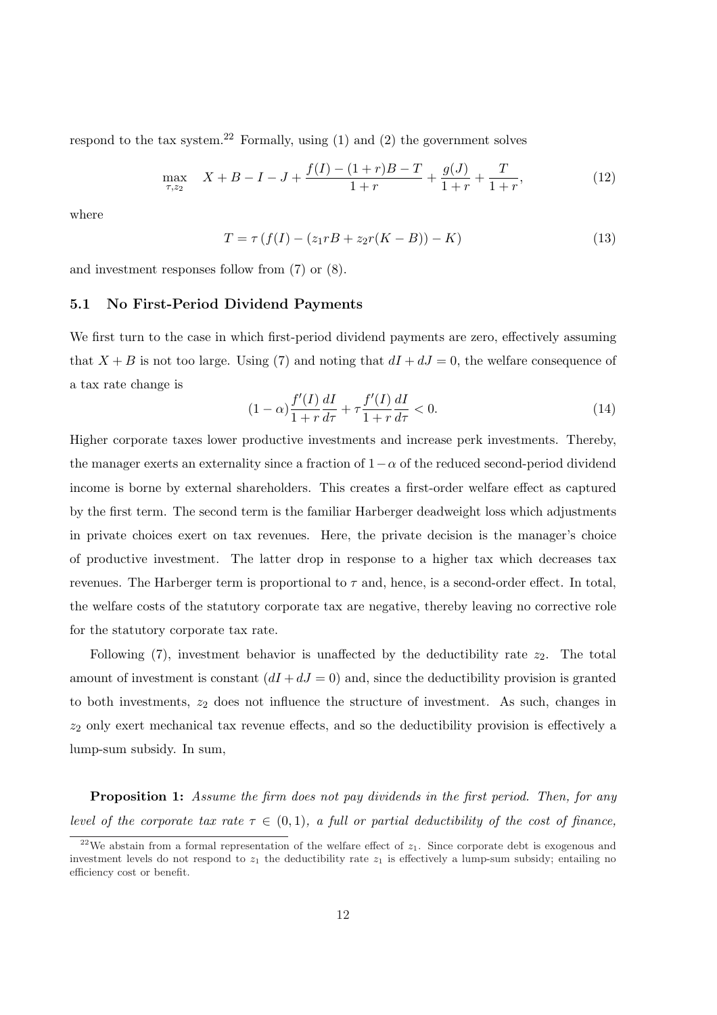respond to the tax system.<sup>22</sup> Formally, using  $(1)$  and  $(2)$  the government solves

$$
\max_{\tau,z_2} X + B - I - J + \frac{f(I) - (1+r)B - T}{1+r} + \frac{g(J)}{1+r} + \frac{T}{1+r},\tag{12}
$$

where

$$
T = \tau (f(I) - (z_1 rB + z_2 r(K - B)) - K)
$$
\n(13)

and investment responses follow from (7) or (8).

#### 5.1 No First-Period Dividend Payments

We first turn to the case in which first-period dividend payments are zero, effectively assuming that  $X + B$  is not too large. Using (7) and noting that  $dI + dJ = 0$ , the welfare consequence of a tax rate change is

$$
(1 - \alpha) \frac{f'(I)}{1 + r} \frac{dI}{d\tau} + \tau \frac{f'(I)}{1 + r} \frac{dI}{d\tau} < 0. \tag{14}
$$

Higher corporate taxes lower productive investments and increase perk investments. Thereby, the manager exerts an externality since a fraction of  $1-\alpha$  of the reduced second-period dividend income is borne by external shareholders. This creates a first-order welfare effect as captured by the first term. The second term is the familiar Harberger deadweight loss which adjustments in private choices exert on tax revenues. Here, the private decision is the manager's choice of productive investment. The latter drop in response to a higher tax which decreases tax revenues. The Harberger term is proportional to  $\tau$  and, hence, is a second-order effect. In total, the welfare costs of the statutory corporate tax are negative, thereby leaving no corrective role for the statutory corporate tax rate.

Following  $(7)$ , investment behavior is unaffected by the deductibility rate  $z_2$ . The total amount of investment is constant  $(dI + dJ = 0)$  and, since the deductibility provision is granted to both investments,  $z_2$  does not influence the structure of investment. As such, changes in  $z_2$  only exert mechanical tax revenue effects, and so the deductibility provision is effectively a lump-sum subsidy. In sum,

Proposition 1: Assume the firm does not pay dividends in the first period. Then, for any level of the corporate tax rate  $\tau \in (0,1)$ , a full or partial deductibility of the cost of finance,

<sup>&</sup>lt;sup>22</sup>We abstain from a formal representation of the welfare effect of  $z_1$ . Since corporate debt is exogenous and investment levels do not respond to  $z_1$  the deductibility rate  $z_1$  is effectively a lump-sum subsidy; entailing no efficiency cost or benefit.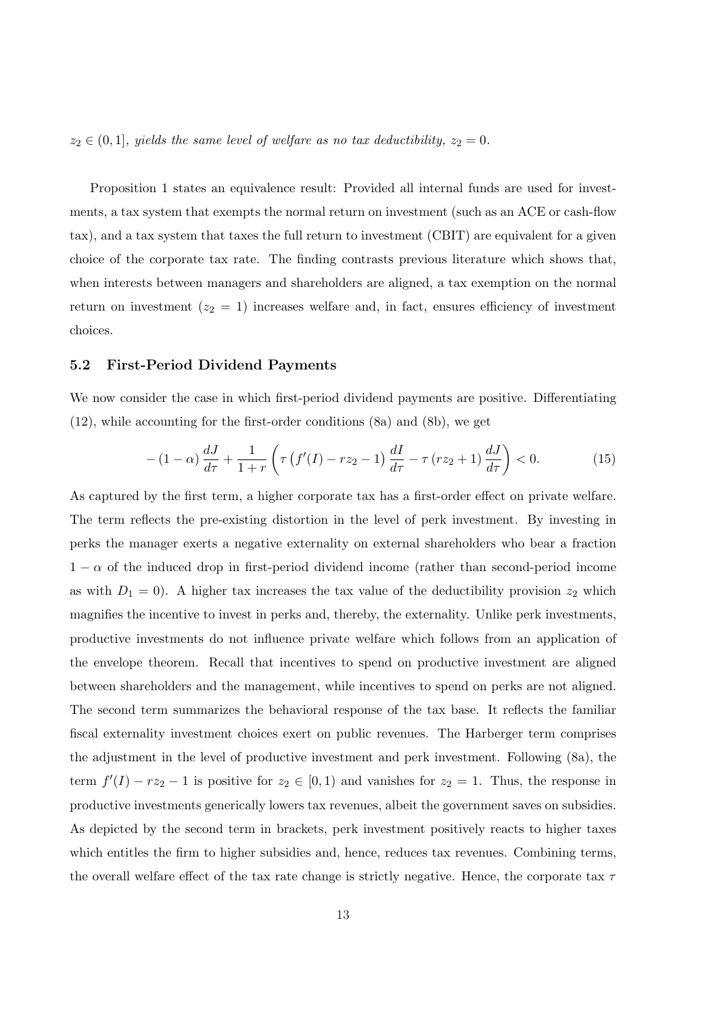$z_2 \in (0,1]$ , yields the same level of welfare as no tax deductibility,  $z_2 = 0$ .

Proposition 1 states an equivalence result: Provided all internal funds are used for investments, a tax system that exempts the normal return on investment (such as an ACE or cash-flow tax), and a tax system that taxes the full return to investment (CBIT) are equivalent for a given choice of the corporate tax rate. The finding contrasts previous literature which shows that, when interests between managers and shareholders are aligned, a tax exemption on the normal return on investment  $(z_2 = 1)$  increases welfare and, in fact, ensures efficiency of investment choices.

#### 5.2 First-Period Dividend Payments

We now consider the case in which first-period dividend payments are positive. Differentiating (12), while accounting for the first-order conditions (8a) and (8b), we get

$$
-(1-\alpha)\frac{dJ}{d\tau} + \frac{1}{1+r} \left( \tau \left( f'(I) - rz_2 - 1 \right) \frac{dI}{d\tau} - \tau \left( rz_2 + 1 \right) \frac{dJ}{d\tau} \right) < 0. \tag{15}
$$

As captured by the first term, a higher corporate tax has a first-order effect on private welfare. The term reflects the pre-existing distortion in the level of perk investment. By investing in perks the manager exerts a negative externality on external shareholders who bear a fraction  $1 - \alpha$  of the induced drop in first-period dividend income (rather than second-period income as with  $D_1 = 0$ . A higher tax increases the tax value of the deductibility provision  $z_2$  which magnifies the incentive to invest in perks and, thereby, the externality. Unlike perk investments, productive investments do not influence private welfare which follows from an application of the envelope theorem. Recall that incentives to spend on productive investment are aligned between shareholders and the management, while incentives to spend on perks are not aligned. The second term summarizes the behavioral response of the tax base. It reflects the familiar fiscal externality investment choices exert on public revenues. The Harberger term comprises the adjustment in the level of productive investment and perk investment. Following (8a), the term  $f'(I) - rz_2 - 1$  is positive for  $z_2 \in [0,1)$  and vanishes for  $z_2 = 1$ . Thus, the response in productive investments generically lowers tax revenues, albeit the government saves on subsidies. As depicted by the second term in brackets, perk investment positively reacts to higher taxes which entitles the firm to higher subsidies and, hence, reduces tax revenues. Combining terms, the overall welfare effect of the tax rate change is strictly negative. Hence, the corporate tax  $\tau$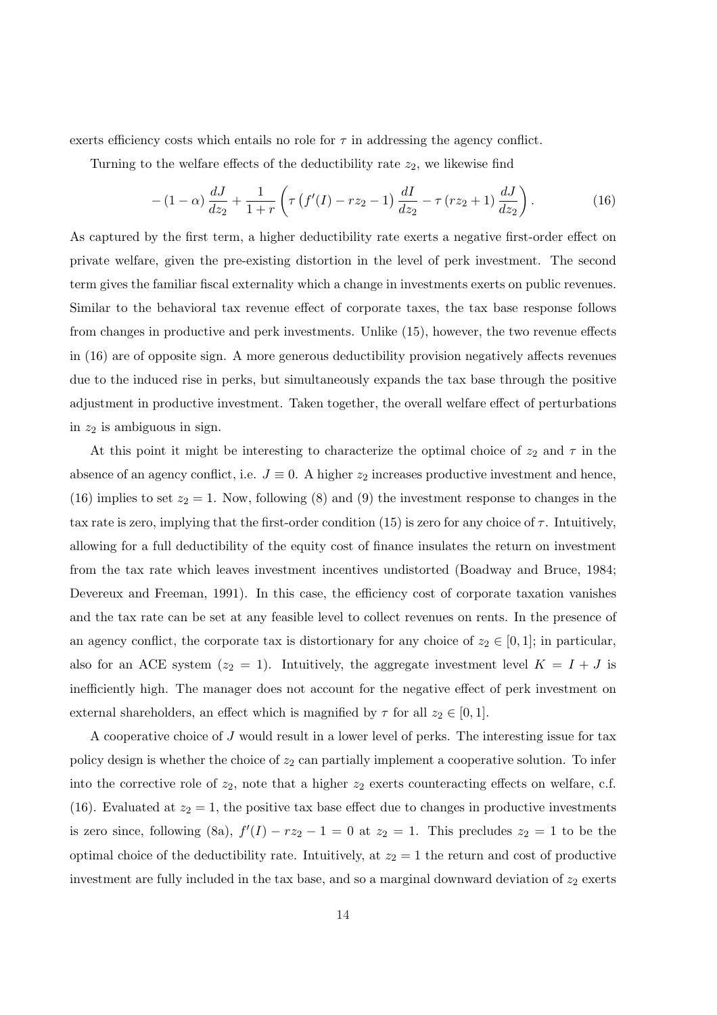exerts efficiency costs which entails no role for  $\tau$  in addressing the agency conflict.

Turning to the welfare effects of the deductibility rate  $z_2$ , we likewise find

$$
-(1-\alpha)\frac{dJ}{dz_2} + \frac{1}{1+r} \left( \tau \left( f'(I) - rz_2 - 1 \right) \frac{dI}{dz_2} - \tau \left( rz_2 + 1 \right) \frac{dJ}{dz_2} \right). \tag{16}
$$

As captured by the first term, a higher deductibility rate exerts a negative first-order effect on private welfare, given the pre-existing distortion in the level of perk investment. The second term gives the familiar fiscal externality which a change in investments exerts on public revenues. Similar to the behavioral tax revenue effect of corporate taxes, the tax base response follows from changes in productive and perk investments. Unlike (15), however, the two revenue effects in (16) are of opposite sign. A more generous deductibility provision negatively affects revenues due to the induced rise in perks, but simultaneously expands the tax base through the positive adjustment in productive investment. Taken together, the overall welfare effect of perturbations in  $z_2$  is ambiguous in sign.

At this point it might be interesting to characterize the optimal choice of  $z_2$  and  $\tau$  in the absence of an agency conflict, i.e.  $J \equiv 0$ . A higher  $z_2$  increases productive investment and hence, (16) implies to set  $z_2 = 1$ . Now, following (8) and (9) the investment response to changes in the tax rate is zero, implying that the first-order condition (15) is zero for any choice of  $\tau$ . Intuitively, allowing for a full deductibility of the equity cost of finance insulates the return on investment from the tax rate which leaves investment incentives undistorted (Boadway and Bruce, 1984; Devereux and Freeman, 1991). In this case, the efficiency cost of corporate taxation vanishes and the tax rate can be set at any feasible level to collect revenues on rents. In the presence of an agency conflict, the corporate tax is distortionary for any choice of  $z_2 \in [0,1]$ ; in particular, also for an ACE system  $(z_2 = 1)$ . Intuitively, the aggregate investment level  $K = I + J$  is inefficiently high. The manager does not account for the negative effect of perk investment on external shareholders, an effect which is magnified by  $\tau$  for all  $z_2 \in [0, 1]$ .

A cooperative choice of  $J$  would result in a lower level of perks. The interesting issue for tax policy design is whether the choice of  $z_2$  can partially implement a cooperative solution. To infer into the corrective role of  $z_2$ , note that a higher  $z_2$  exerts counteracting effects on welfare, c.f. (16). Evaluated at  $z_2 = 1$ , the positive tax base effect due to changes in productive investments is zero since, following (8a),  $f'(I) - rz_2 - 1 = 0$  at  $z_2 = 1$ . This precludes  $z_2 = 1$  to be the optimal choice of the deductibility rate. Intuitively, at  $z_2 = 1$  the return and cost of productive investment are fully included in the tax base, and so a marginal downward deviation of  $z_2$  exerts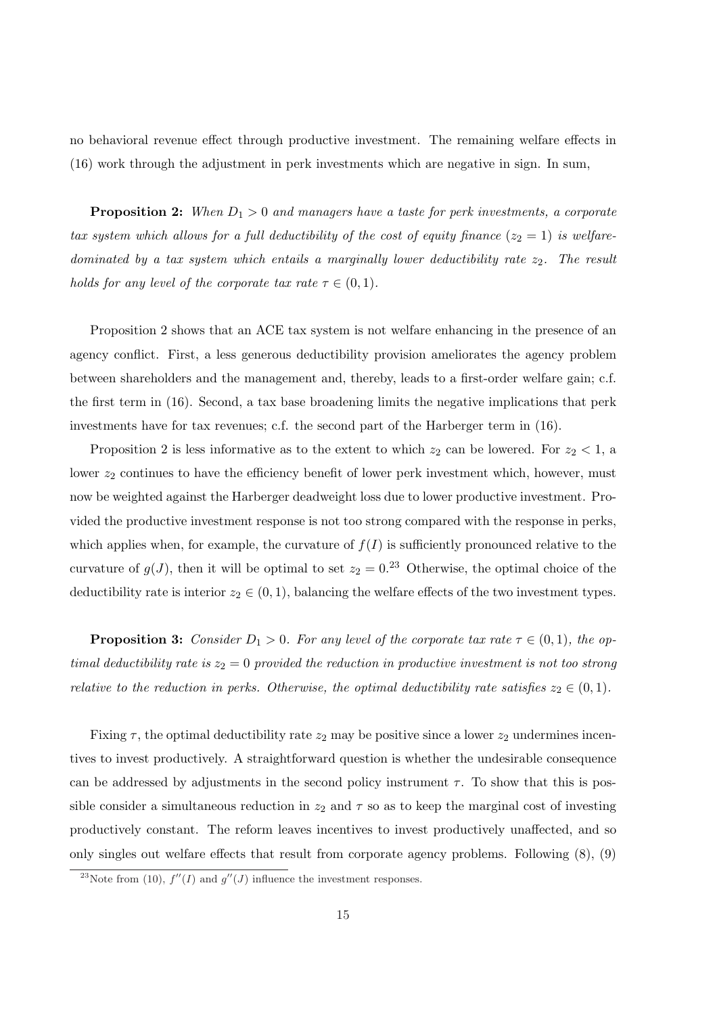no behavioral revenue effect through productive investment. The remaining welfare effects in (16) work through the adjustment in perk investments which are negative in sign. In sum,

**Proposition 2:** When  $D_1 > 0$  and managers have a taste for perk investments, a corporate tax system which allows for a full deductibility of the cost of equity finance  $(z_2 = 1)$  is welfaredominated by a tax system which entails a marginally lower deductibility rate  $z_2$ . The result holds for any level of the corporate tax rate  $\tau \in (0,1)$ .

Proposition 2 shows that an ACE tax system is not welfare enhancing in the presence of an agency conflict. First, a less generous deductibility provision ameliorates the agency problem between shareholders and the management and, thereby, leads to a first-order welfare gain; c.f. the first term in (16). Second, a tax base broadening limits the negative implications that perk investments have for tax revenues; c.f. the second part of the Harberger term in (16).

Proposition 2 is less informative as to the extent to which  $z_2$  can be lowered. For  $z_2 < 1$ , a lower  $z_2$  continues to have the efficiency benefit of lower perk investment which, however, must now be weighted against the Harberger deadweight loss due to lower productive investment. Provided the productive investment response is not too strong compared with the response in perks, which applies when, for example, the curvature of  $f(I)$  is sufficiently pronounced relative to the curvature of  $g(J)$ , then it will be optimal to set  $z_2 = 0.23$  Otherwise, the optimal choice of the deductibility rate is interior  $z_2 \in (0,1)$ , balancing the welfare effects of the two investment types.

**Proposition 3:** Consider  $D_1 > 0$ . For any level of the corporate tax rate  $\tau \in (0,1)$ , the optimal deductibility rate is  $z_2 = 0$  provided the reduction in productive investment is not too strong relative to the reduction in perks. Otherwise, the optimal deductibility rate satisfies  $z_2 \in (0,1)$ .

Fixing  $\tau$ , the optimal deductibility rate  $z_2$  may be positive since a lower  $z_2$  undermines incentives to invest productively. A straightforward question is whether the undesirable consequence can be addressed by adjustments in the second policy instrument  $\tau$ . To show that this is possible consider a simultaneous reduction in  $z_2$  and  $\tau$  so as to keep the marginal cost of investing productively constant. The reform leaves incentives to invest productively unaffected, and so only singles out welfare effects that result from corporate agency problems. Following (8), (9)

<sup>&</sup>lt;sup>23</sup>Note from (10),  $f''(I)$  and  $g''(J)$  influence the investment responses.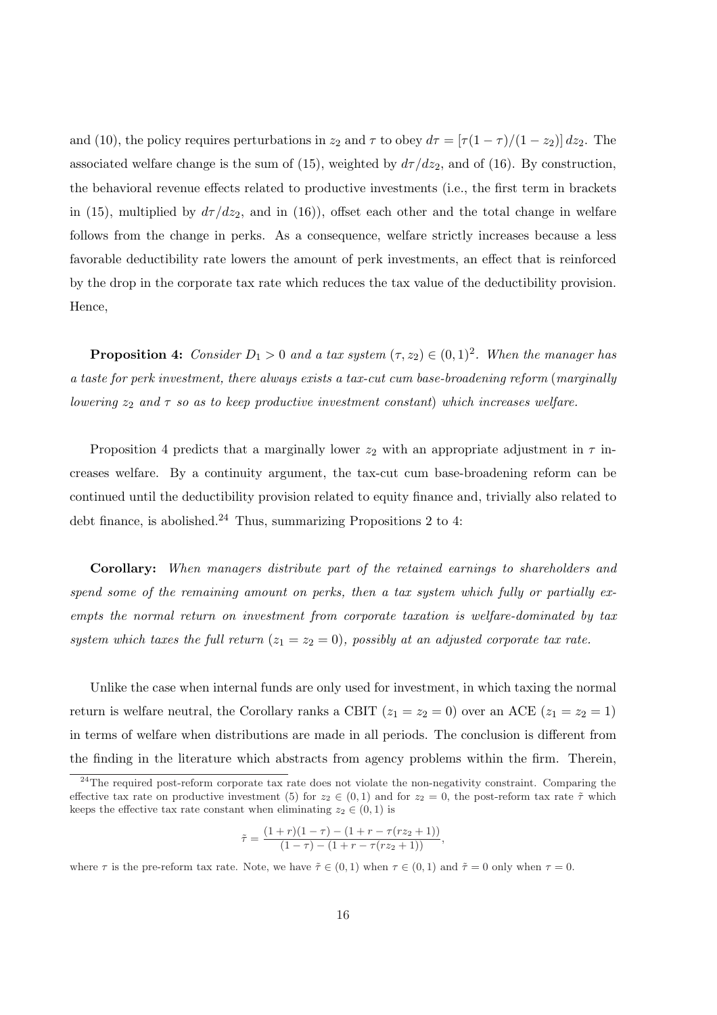and (10), the policy requires perturbations in  $z_2$  and  $\tau$  to obey  $d\tau = [\tau(1-\tau)/(1-z_2)] dz_2$ . The associated welfare change is the sum of (15), weighted by  $d\tau/dz_2$ , and of (16). By construction, the behavioral revenue effects related to productive investments (i.e., the first term in brackets in (15), multiplied by  $d\tau/dz_2$ , and in (16)), offset each other and the total change in welfare follows from the change in perks. As a consequence, welfare strictly increases because a less favorable deductibility rate lowers the amount of perk investments, an effect that is reinforced by the drop in the corporate tax rate which reduces the tax value of the deductibility provision. Hence,

**Proposition 4:** Consider  $D_1 > 0$  and a tax system  $(\tau, z_2) \in (0, 1)^2$ . When the manager has a taste for perk investment, there always exists a tax-cut cum base-broadening reform (marginally lowering  $z_2$  and  $\tau$  so as to keep productive investment constant) which increases welfare.

Proposition 4 predicts that a marginally lower  $z_2$  with an appropriate adjustment in  $\tau$  increases welfare. By a continuity argument, the tax-cut cum base-broadening reform can be continued until the deductibility provision related to equity finance and, trivially also related to debt finance, is abolished. $^{24}$  Thus, summarizing Propositions 2 to 4:

Corollary: When managers distribute part of the retained earnings to shareholders and spend some of the remaining amount on perks, then a tax system which fully or partially exempts the normal return on investment from corporate taxation is welfare-dominated by tax system which taxes the full return  $(z_1 = z_2 = 0)$ , possibly at an adjusted corporate tax rate.

Unlike the case when internal funds are only used for investment, in which taxing the normal return is welfare neutral, the Corollary ranks a CBIT  $(z_1 = z_2 = 0)$  over an ACE  $(z_1 = z_2 = 1)$ in terms of welfare when distributions are made in all periods. The conclusion is different from the finding in the literature which abstracts from agency problems within the firm. Therein,

$$
\tilde{\tau} = \frac{(1+r)(1-\tau) - (1+r - \tau(rz_2+1))}{(1-\tau) - (1+r - \tau(rz_2+1))},
$$

where  $\tau$  is the pre-reform tax rate. Note, we have  $\tilde{\tau} \in (0,1)$  when  $\tau \in (0,1)$  and  $\tilde{\tau} = 0$  only when  $\tau = 0$ .

<sup>&</sup>lt;sup>24</sup>The required post-reform corporate tax rate does not violate the non-negativity constraint. Comparing the effective tax rate on productive investment (5) for  $z_2 \in (0,1)$  and for  $z_2 = 0$ , the post-reform tax rate  $\tilde{\tau}$  which keeps the effective tax rate constant when eliminating  $z_2 \in (0,1)$  is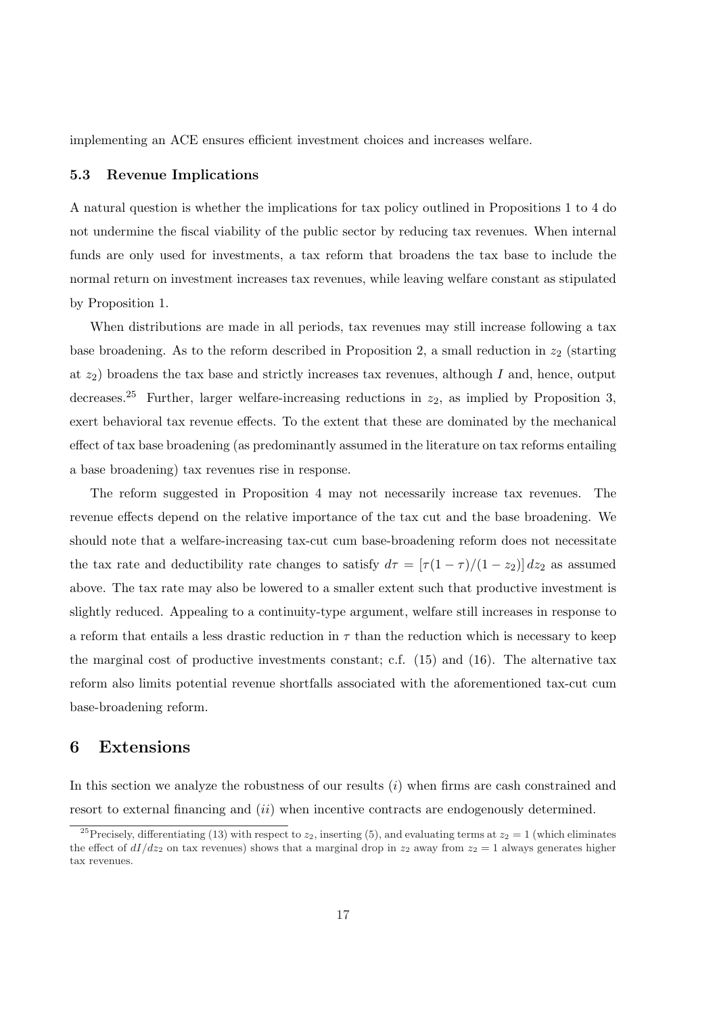implementing an ACE ensures efficient investment choices and increases welfare.

#### 5.3 Revenue Implications

A natural question is whether the implications for tax policy outlined in Propositions 1 to 4 do not undermine the fiscal viability of the public sector by reducing tax revenues. When internal funds are only used for investments, a tax reform that broadens the tax base to include the normal return on investment increases tax revenues, while leaving welfare constant as stipulated by Proposition 1.

When distributions are made in all periods, tax revenues may still increase following a tax base broadening. As to the reform described in Proposition 2, a small reduction in  $z_2$  (starting at  $z_2$ ) broadens the tax base and strictly increases tax revenues, although I and, hence, output decreases.<sup>25</sup> Further, larger welfare-increasing reductions in  $z_2$ , as implied by Proposition 3, exert behavioral tax revenue effects. To the extent that these are dominated by the mechanical effect of tax base broadening (as predominantly assumed in the literature on tax reforms entailing a base broadening) tax revenues rise in response.

The reform suggested in Proposition 4 may not necessarily increase tax revenues. The revenue effects depend on the relative importance of the tax cut and the base broadening. We should note that a welfare-increasing tax-cut cum base-broadening reform does not necessitate the tax rate and deductibility rate changes to satisfy  $d\tau = \left[\frac{\tau(1-\tau)}{(1-z_2)}\right]dz_2$  as assumed above. The tax rate may also be lowered to a smaller extent such that productive investment is slightly reduced. Appealing to a continuity-type argument, welfare still increases in response to a reform that entails a less drastic reduction in  $\tau$  than the reduction which is necessary to keep the marginal cost of productive investments constant; c.f. (15) and (16). The alternative tax reform also limits potential revenue shortfalls associated with the aforementioned tax-cut cum base-broadening reform.

#### 6 Extensions

In this section we analyze the robustness of our results  $(i)$  when firms are cash constrained and resort to external financing and *(ii)* when incentive contracts are endogenously determined.

<sup>&</sup>lt;sup>25</sup>Precisely, differentiating (13) with respect to  $z_2$ , inserting (5), and evaluating terms at  $z_2 = 1$  (which eliminates the effect of  $dI/dz_2$  on tax revenues) shows that a marginal drop in  $z_2$  away from  $z_2 = 1$  always generates higher tax revenues.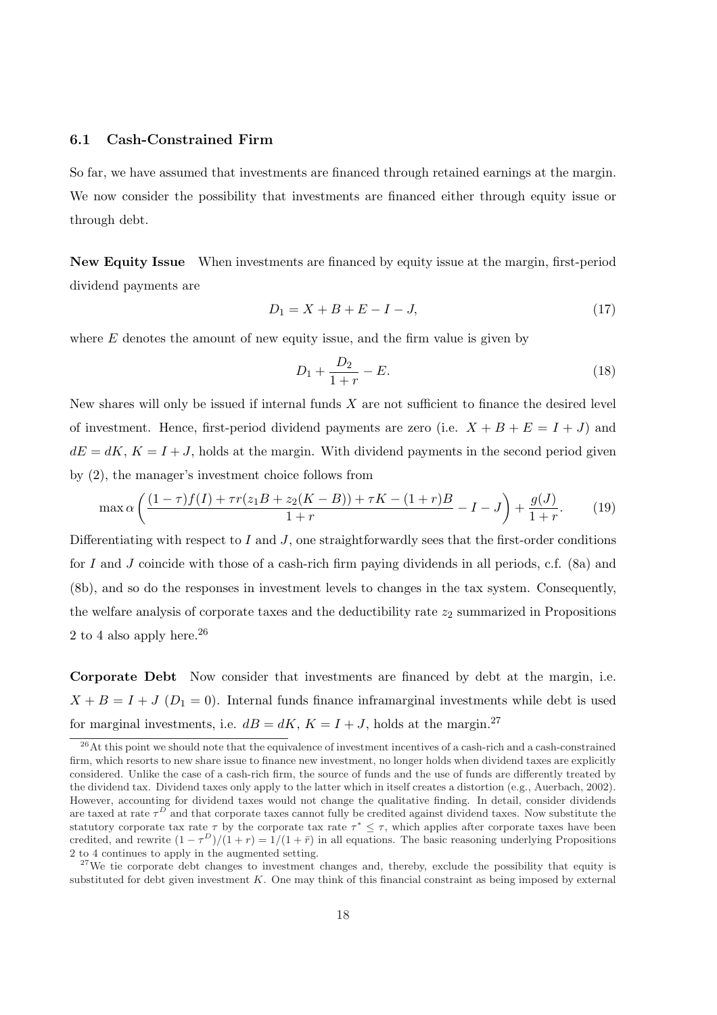#### 6.1 Cash-Constrained Firm

So far, we have assumed that investments are financed through retained earnings at the margin. We now consider the possibility that investments are financed either through equity issue or through debt.

New Equity Issue When investments are financed by equity issue at the margin, first-period dividend payments are

$$
D_1 = X + B + E - I - J,\t\t(17)
$$

where  $E$  denotes the amount of new equity issue, and the firm value is given by

$$
D_1 + \frac{D_2}{1+r} - E.
$$
\n(18)

New shares will only be issued if internal funds  $X$  are not sufficient to finance the desired level of investment. Hence, first-period dividend payments are zero (i.e.  $X + B + E = I + J$ ) and  $dE = dK$ ,  $K = I + J$ , holds at the margin. With dividend payments in the second period given by (2), the manager's investment choice follows from

$$
\max \alpha \left( \frac{(1-\tau)f(I) + \tau r(z_1 B + z_2 (K - B)) + \tau K - (1+r)B}{1+r} - I - J \right) + \frac{g(J)}{1+r}.
$$
 (19)

Differentiating with respect to I and J, one straightforwardly sees that the first-order conditions for I and J coincide with those of a cash-rich firm paying dividends in all periods, c.f.  $(8a)$  and (8b), and so do the responses in investment levels to changes in the tax system. Consequently, the welfare analysis of corporate taxes and the deductibility rate  $z_2$  summarized in Propositions 2 to 4 also apply here.<sup>26</sup>

Corporate Debt Now consider that investments are financed by debt at the margin, i.e.  $X + B = I + J (D_1 = 0)$ . Internal funds finance inframarginal investments while debt is used for marginal investments, i.e.  $dB = dK$ ,  $K = I + J$ , holds at the margin.<sup>27</sup>

 $26$ At this point we should note that the equivalence of investment incentives of a cash-rich and a cash-constrained firm, which resorts to new share issue to finance new investment, no longer holds when dividend taxes are explicitly considered. Unlike the case of a cash-rich firm, the source of funds and the use of funds are differently treated by the dividend tax. Dividend taxes only apply to the latter which in itself creates a distortion (e.g., Auerbach, 2002). However, accounting for dividend taxes would not change the qualitative finding. In detail, consider dividends are taxed at rate  $\tau^D$  and that corporate taxes cannot fully be credited against dividend taxes. Now substitute the statutory corporate tax rate  $\tau$  by the corporate tax rate  $\tau^* \leq \tau$ , which applies after corporate taxes have been credited, and rewrite  $(1 - \tau^D)/(1 + r) = 1/(1 + \bar{r})$  in all equations. The basic reasoning underlying Propositions 2 to 4 continues to apply in the augmented setting.

 $27$ We tie corporate debt changes to investment changes and, thereby, exclude the possibility that equity is substituted for debt given investment  $K$ . One may think of this financial constraint as being imposed by external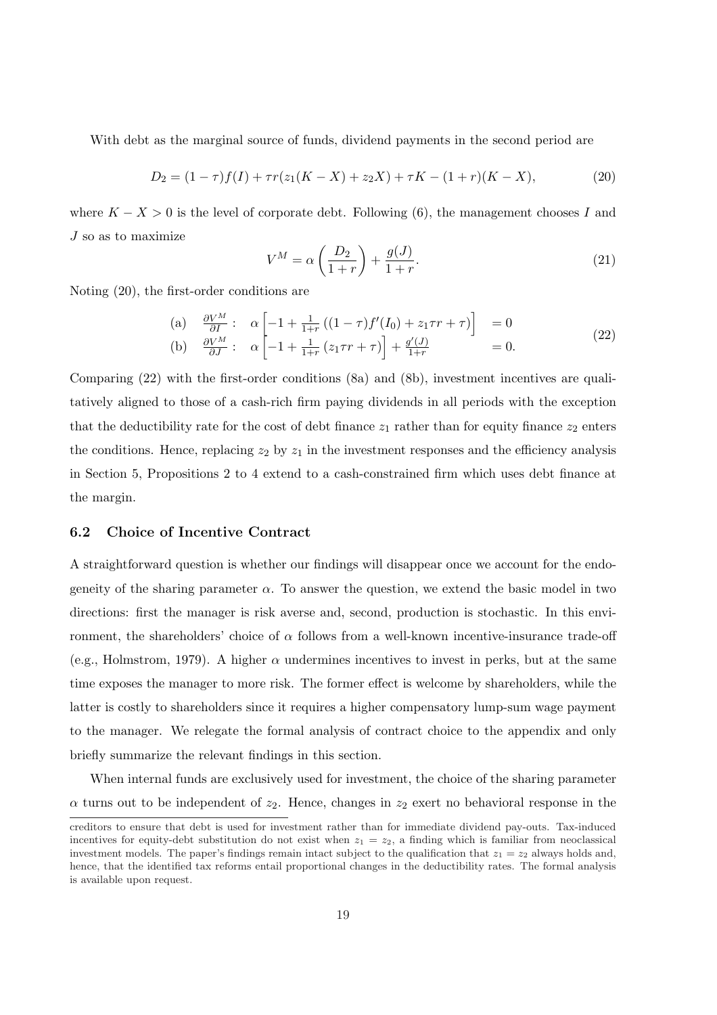With debt as the marginal source of funds, dividend payments in the second period are

$$
D_2 = (1 - \tau)f(I) + \tau r(z_1(K - X) + z_2 X) + \tau K - (1 + r)(K - X),\tag{20}
$$

where  $K - X > 0$  is the level of corporate debt. Following (6), the management chooses I and J so as to maximize  $\overline{a}$  $\mathbf{r}$ 

$$
V^M = \alpha \left(\frac{D_2}{1+r}\right) + \frac{g(J)}{1+r}.\tag{21}
$$

Noting (20), the first-order conditions are

(a) 
$$
\frac{\partial V^M}{\partial I} : \alpha \left[ -1 + \frac{1}{1+r} \left( (1-\tau) f'(I_0) + z_1 \tau r + \tau \right) \right] = 0
$$
  
\n(b) 
$$
\frac{\partial V^M}{\partial J} : \alpha \left[ -1 + \frac{1}{1+r} \left( z_1 \tau r + \tau \right) \right] + \frac{g'(J)}{1+r} = 0.
$$
\n(22)

Comparing (22) with the first-order conditions (8a) and (8b), investment incentives are qualitatively aligned to those of a cash-rich firm paying dividends in all periods with the exception that the deductibility rate for the cost of debt finance  $z_1$  rather than for equity finance  $z_2$  enters the conditions. Hence, replacing  $z_2$  by  $z_1$  in the investment responses and the efficiency analysis in Section 5, Propositions 2 to 4 extend to a cash-constrained firm which uses debt finance at the margin.

#### 6.2 Choice of Incentive Contract

A straightforward question is whether our findings will disappear once we account for the endogeneity of the sharing parameter  $\alpha$ . To answer the question, we extend the basic model in two directions: first the manager is risk averse and, second, production is stochastic. In this environment, the shareholders' choice of  $\alpha$  follows from a well-known incentive-insurance trade-off (e.g., Holmstrom, 1979). A higher  $\alpha$  undermines incentives to invest in perks, but at the same time exposes the manager to more risk. The former effect is welcome by shareholders, while the latter is costly to shareholders since it requires a higher compensatory lump-sum wage payment to the manager. We relegate the formal analysis of contract choice to the appendix and only briefly summarize the relevant findings in this section.

When internal funds are exclusively used for investment, the choice of the sharing parameter  $\alpha$  turns out to be independent of  $z_2$ . Hence, changes in  $z_2$  exert no behavioral response in the

creditors to ensure that debt is used for investment rather than for immediate dividend pay-outs. Tax-induced incentives for equity-debt substitution do not exist when  $z_1 = z_2$ , a finding which is familiar from neoclassical investment models. The paper's findings remain intact subject to the qualification that  $z_1 = z_2$  always holds and, hence, that the identified tax reforms entail proportional changes in the deductibility rates. The formal analysis is available upon request.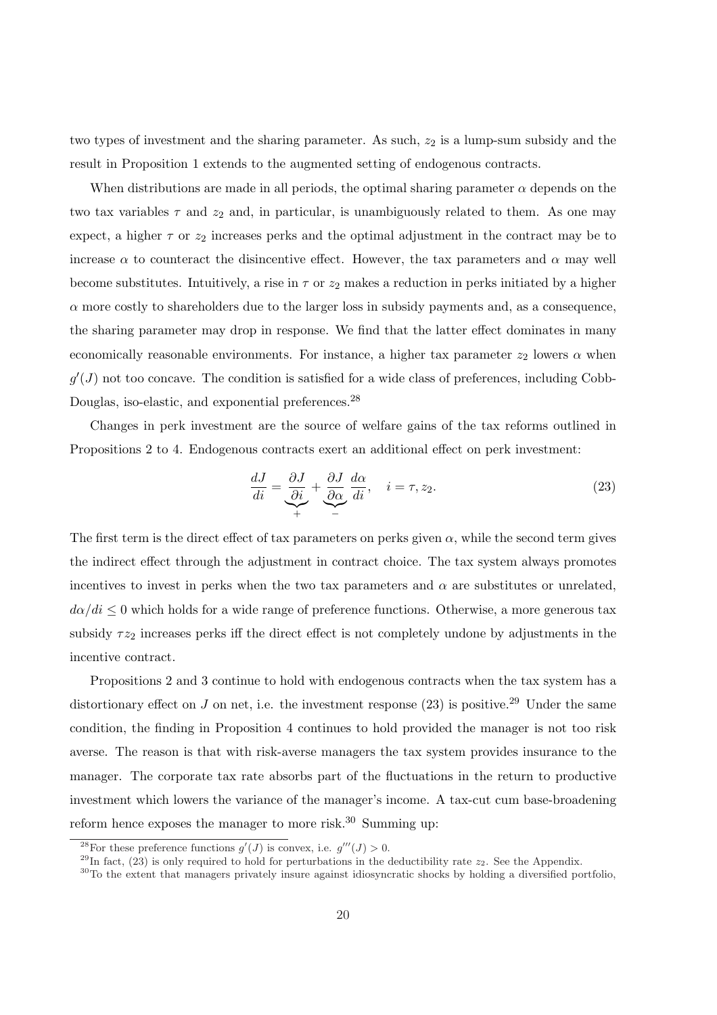two types of investment and the sharing parameter. As such,  $z_2$  is a lump-sum subsidy and the result in Proposition 1 extends to the augmented setting of endogenous contracts.

When distributions are made in all periods, the optimal sharing parameter  $\alpha$  depends on the two tax variables  $\tau$  and  $z_2$  and, in particular, is unambiguously related to them. As one may expect, a higher  $\tau$  or  $z_2$  increases perks and the optimal adjustment in the contract may be to increase  $\alpha$  to counteract the disincentive effect. However, the tax parameters and  $\alpha$  may well become substitutes. Intuitively, a rise in  $\tau$  or  $z_2$  makes a reduction in perks initiated by a higher  $\alpha$  more costly to shareholders due to the larger loss in subsidy payments and, as a consequence, the sharing parameter may drop in response. We find that the latter effect dominates in many economically reasonable environments. For instance, a higher tax parameter  $z_2$  lowers  $\alpha$  when  $g'(J)$  not too concave. The condition is satisfied for a wide class of preferences, including Cobb-Douglas, iso-elastic, and exponential preferences.<sup>28</sup>

Changes in perk investment are the source of welfare gains of the tax reforms outlined in Propositions 2 to 4. Endogenous contracts exert an additional effect on perk investment:

$$
\frac{dJ}{di} = \underbrace{\frac{\partial J}{\partial i}}_{+} + \underbrace{\frac{\partial J}{\partial \alpha}}_{-} \frac{d\alpha}{di}, \quad i = \tau, z_2.
$$
\n(23)

The first term is the direct effect of tax parameters on perks given  $\alpha$ , while the second term gives the indirect effect through the adjustment in contract choice. The tax system always promotes incentives to invest in perks when the two tax parameters and  $\alpha$  are substitutes or unrelated,  $d\alpha/di \leq 0$  which holds for a wide range of preference functions. Otherwise, a more generous tax subsidy  $\tau z_2$  increases perks iff the direct effect is not completely undone by adjustments in the incentive contract.

Propositions 2 and 3 continue to hold with endogenous contracts when the tax system has a distortionary effect on  $J$  on net, i.e. the investment response (23) is positive.<sup>29</sup> Under the same condition, the finding in Proposition 4 continues to hold provided the manager is not too risk averse. The reason is that with risk-averse managers the tax system provides insurance to the manager. The corporate tax rate absorbs part of the fluctuations in the return to productive investment which lowers the variance of the manager's income. A tax-cut cum base-broadening reform hence exposes the manager to more risk.<sup>30</sup> Summing up:

<sup>&</sup>lt;sup>28</sup>For these preference functions  $g'(J)$  is convex, i.e.  $g'''(J) > 0$ .

<sup>&</sup>lt;sup>29</sup>In fact, (23) is only required to hold for perturbations in the deductibility rate  $z_2$ . See the Appendix.

<sup>30</sup>To the extent that managers privately insure against idiosyncratic shocks by holding a diversified portfolio,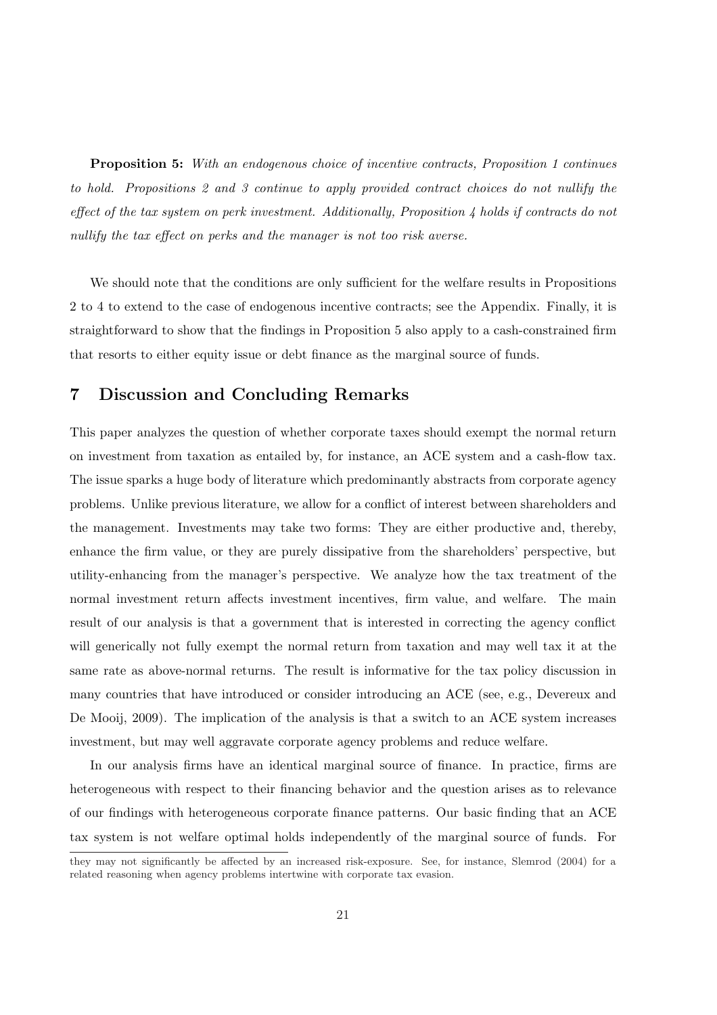Proposition 5: With an endogenous choice of incentive contracts, Proposition 1 continues to hold. Propositions 2 and 3 continue to apply provided contract choices do not nullify the effect of the tax system on perk investment. Additionally, Proposition 4 holds if contracts do not nullify the tax effect on perks and the manager is not too risk averse.

We should note that the conditions are only sufficient for the welfare results in Propositions 2 to 4 to extend to the case of endogenous incentive contracts; see the Appendix. Finally, it is straightforward to show that the findings in Proposition 5 also apply to a cash-constrained firm that resorts to either equity issue or debt finance as the marginal source of funds.

## 7 Discussion and Concluding Remarks

This paper analyzes the question of whether corporate taxes should exempt the normal return on investment from taxation as entailed by, for instance, an ACE system and a cash-flow tax. The issue sparks a huge body of literature which predominantly abstracts from corporate agency problems. Unlike previous literature, we allow for a conflict of interest between shareholders and the management. Investments may take two forms: They are either productive and, thereby, enhance the firm value, or they are purely dissipative from the shareholders' perspective, but utility-enhancing from the manager's perspective. We analyze how the tax treatment of the normal investment return affects investment incentives, firm value, and welfare. The main result of our analysis is that a government that is interested in correcting the agency conflict will generically not fully exempt the normal return from taxation and may well tax it at the same rate as above-normal returns. The result is informative for the tax policy discussion in many countries that have introduced or consider introducing an ACE (see, e.g., Devereux and De Mooij, 2009). The implication of the analysis is that a switch to an ACE system increases investment, but may well aggravate corporate agency problems and reduce welfare.

In our analysis firms have an identical marginal source of finance. In practice, firms are heterogeneous with respect to their financing behavior and the question arises as to relevance of our findings with heterogeneous corporate finance patterns. Our basic finding that an ACE tax system is not welfare optimal holds independently of the marginal source of funds. For

they may not significantly be affected by an increased risk-exposure. See, for instance, Slemrod (2004) for a related reasoning when agency problems intertwine with corporate tax evasion.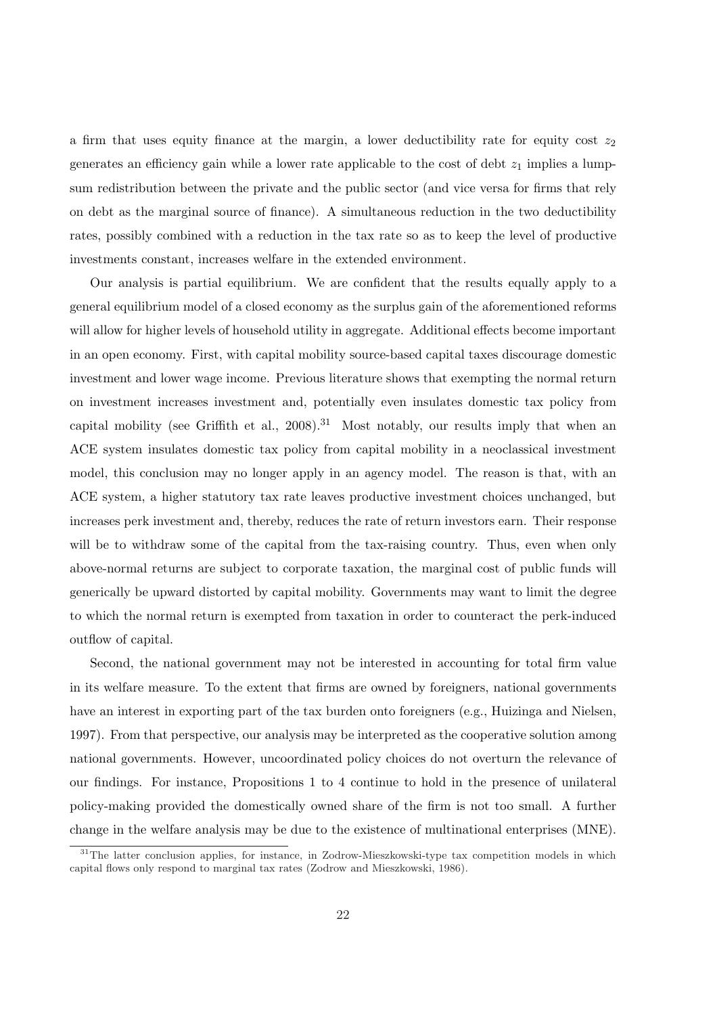a firm that uses equity finance at the margin, a lower deductibility rate for equity cost  $z_2$ generates an efficiency gain while a lower rate applicable to the cost of debt  $z_1$  implies a lumpsum redistribution between the private and the public sector (and vice versa for firms that rely on debt as the marginal source of finance). A simultaneous reduction in the two deductibility rates, possibly combined with a reduction in the tax rate so as to keep the level of productive investments constant, increases welfare in the extended environment.

Our analysis is partial equilibrium. We are confident that the results equally apply to a general equilibrium model of a closed economy as the surplus gain of the aforementioned reforms will allow for higher levels of household utility in aggregate. Additional effects become important in an open economy. First, with capital mobility source-based capital taxes discourage domestic investment and lower wage income. Previous literature shows that exempting the normal return on investment increases investment and, potentially even insulates domestic tax policy from capital mobility (see Griffith et al.,  $2008$ ).<sup>31</sup> Most notably, our results imply that when an ACE system insulates domestic tax policy from capital mobility in a neoclassical investment model, this conclusion may no longer apply in an agency model. The reason is that, with an ACE system, a higher statutory tax rate leaves productive investment choices unchanged, but increases perk investment and, thereby, reduces the rate of return investors earn. Their response will be to withdraw some of the capital from the tax-raising country. Thus, even when only above-normal returns are subject to corporate taxation, the marginal cost of public funds will generically be upward distorted by capital mobility. Governments may want to limit the degree to which the normal return is exempted from taxation in order to counteract the perk-induced outflow of capital.

Second, the national government may not be interested in accounting for total firm value in its welfare measure. To the extent that firms are owned by foreigners, national governments have an interest in exporting part of the tax burden onto foreigners (e.g., Huizinga and Nielsen, 1997). From that perspective, our analysis may be interpreted as the cooperative solution among national governments. However, uncoordinated policy choices do not overturn the relevance of our findings. For instance, Propositions 1 to 4 continue to hold in the presence of unilateral policy-making provided the domestically owned share of the firm is not too small. A further change in the welfare analysis may be due to the existence of multinational enterprises (MNE).

<sup>&</sup>lt;sup>31</sup>The latter conclusion applies, for instance, in Zodrow-Mieszkowski-type tax competition models in which capital flows only respond to marginal tax rates (Zodrow and Mieszkowski, 1986).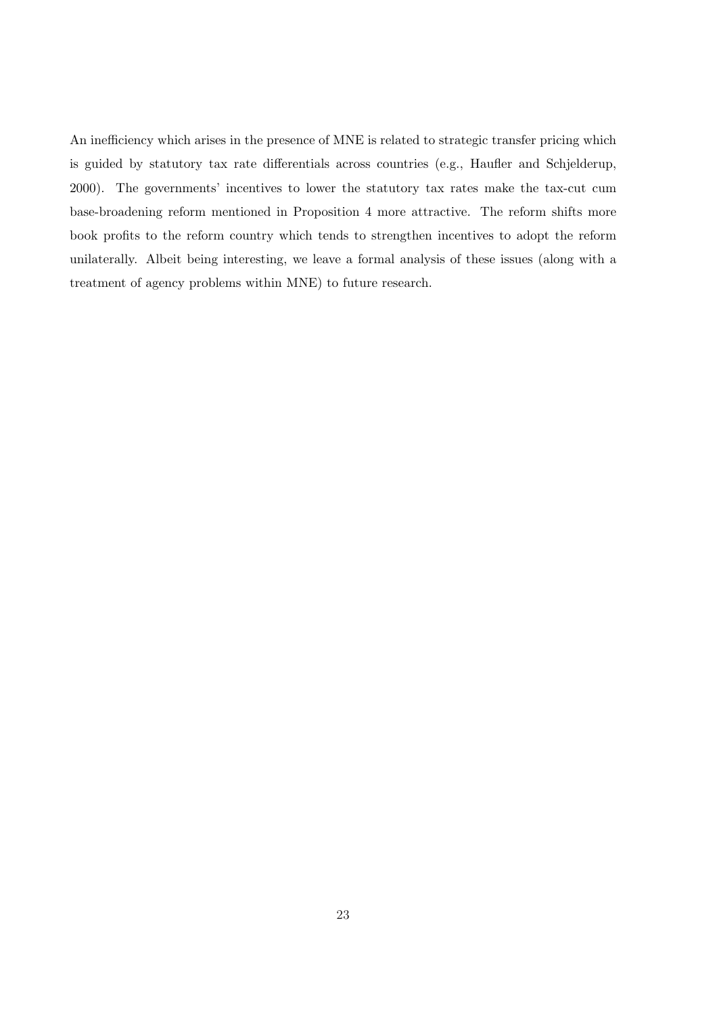An inefficiency which arises in the presence of MNE is related to strategic transfer pricing which is guided by statutory tax rate differentials across countries (e.g., Haufler and Schjelderup, 2000). The governments' incentives to lower the statutory tax rates make the tax-cut cum base-broadening reform mentioned in Proposition 4 more attractive. The reform shifts more book profits to the reform country which tends to strengthen incentives to adopt the reform unilaterally. Albeit being interesting, we leave a formal analysis of these issues (along with a treatment of agency problems within MNE) to future research.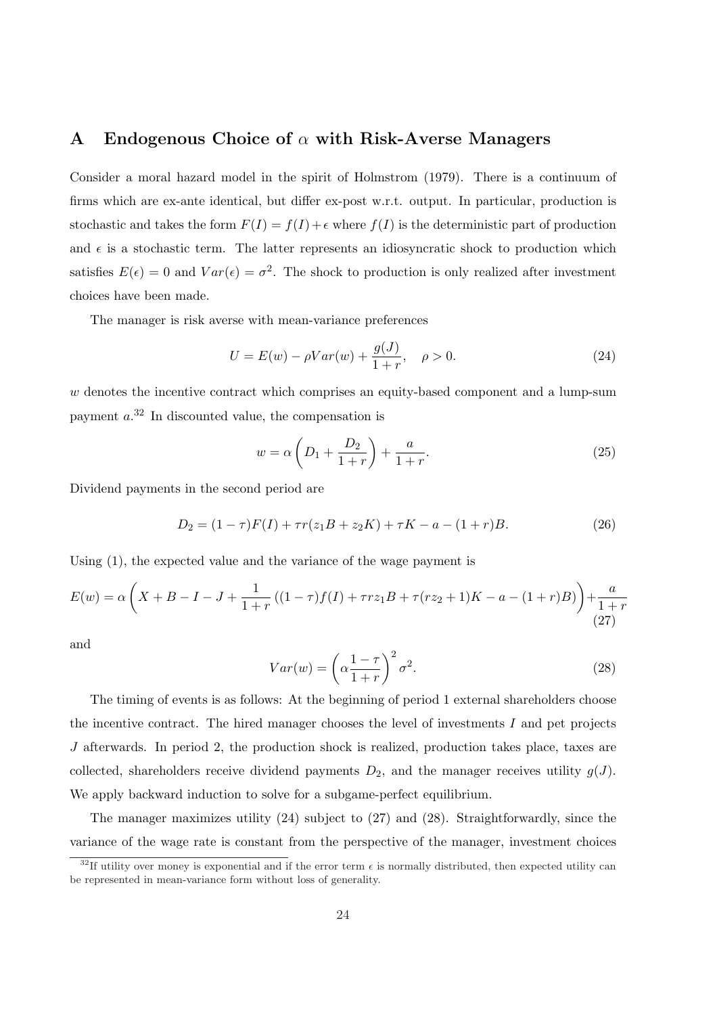#### A Endogenous Choice of  $\alpha$  with Risk-Averse Managers

Consider a moral hazard model in the spirit of Holmstrom (1979). There is a continuum of firms which are ex-ante identical, but differ ex-post w.r.t. output. In particular, production is stochastic and takes the form  $F(I) = f(I) + \epsilon$  where  $f(I)$  is the deterministic part of production and  $\epsilon$  is a stochastic term. The latter represents an idiosyncratic shock to production which satisfies  $E(\epsilon) = 0$  and  $Var(\epsilon) = \sigma^2$ . The shock to production is only realized after investment choices have been made.

The manager is risk averse with mean-variance preferences

$$
U = E(w) - \rho Var(w) + \frac{g(J)}{1+r}, \quad \rho > 0.
$$
 (24)

w denotes the incentive contract which comprises an equity-based component and a lump-sum payment  $a^{32}$  In discounted value, the compensation is

$$
w = \alpha \left( D_1 + \frac{D_2}{1+r} \right) + \frac{a}{1+r}.
$$
 (25)

Dividend payments in the second period are

$$
D_2 = (1 - \tau)F(I) + \tau r(z_1 B + z_2 K) + \tau K - a - (1 + r)B.
$$
 (26)

Using (1), the expected value and the variance of the wage payment is

$$
E(w) = \alpha \left( X + B - I - J + \frac{1}{1+r} \left( (1-\tau)f(I) + \tau rz_1B + \tau(rz_2 + 1)K - a - (1+r)B \right) \right) + \frac{a}{1+r}
$$
\n(27)

and

$$
Var(w) = \left(\alpha \frac{1-\tau}{1+r}\right)^2 \sigma^2.
$$
\n(28)

The timing of events is as follows: At the beginning of period 1 external shareholders choose the incentive contract. The hired manager chooses the level of investments  $I$  and pet projects J afterwards. In period 2, the production shock is realized, production takes place, taxes are collected, shareholders receive dividend payments  $D_2$ , and the manager receives utility  $g(J)$ . We apply backward induction to solve for a subgame-perfect equilibrium.

The manager maximizes utility (24) subject to (27) and (28). Straightforwardly, since the variance of the wage rate is constant from the perspective of the manager, investment choices

 $32$ If utility over money is exponential and if the error term  $\epsilon$  is normally distributed, then expected utility can be represented in mean-variance form without loss of generality.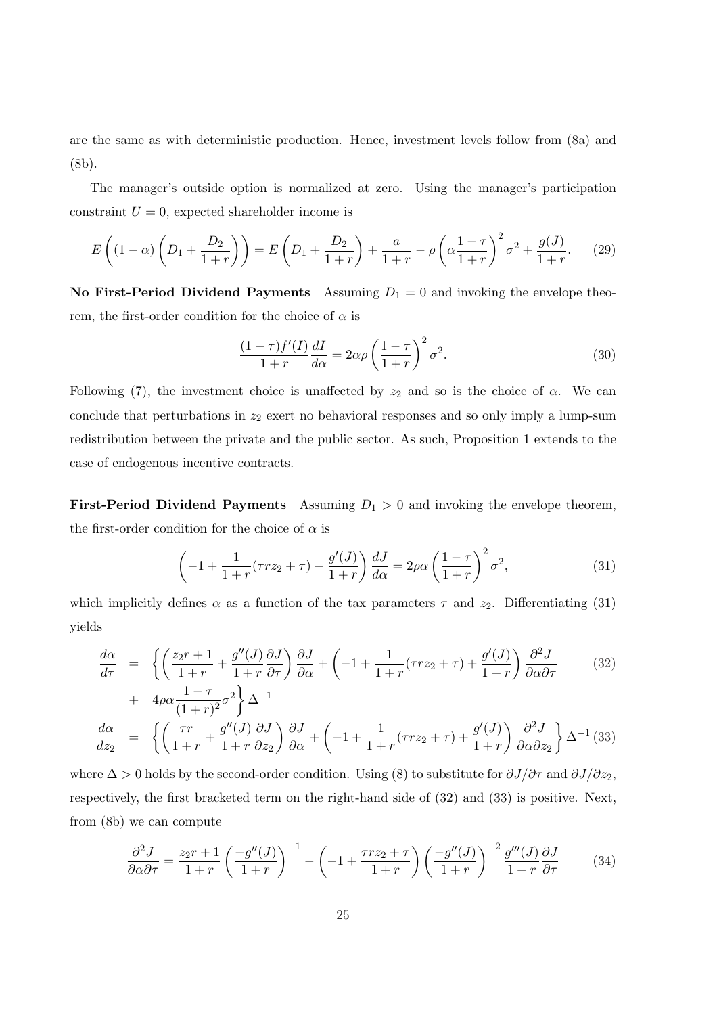are the same as with deterministic production. Hence, investment levels follow from (8a) and (8b).

The manager's outside option is normalized at zero. Using the manager's participation constraint  $U = 0$ , expected shareholder income is

$$
E\left((1-\alpha)\left(D_1 + \frac{D_2}{1+r}\right)\right) = E\left(D_1 + \frac{D_2}{1+r}\right) + \frac{a}{1+r} - \rho\left(\alpha\frac{1-\tau}{1+r}\right)^2\sigma^2 + \frac{g(J)}{1+r}.\tag{29}
$$

No First-Period Dividend Payments Assuming  $D_1 = 0$  and invoking the envelope theorem, the first-order condition for the choice of  $\alpha$  is

$$
\frac{(1-\tau)f'(I)}{1+r}\frac{dI}{d\alpha} = 2\alpha\rho \left(\frac{1-\tau}{1+r}\right)^2 \sigma^2.
$$
\n(30)

Following (7), the investment choice is unaffected by  $z_2$  and so is the choice of  $\alpha$ . We can conclude that perturbations in  $z_2$  exert no behavioral responses and so only imply a lump-sum redistribution between the private and the public sector. As such, Proposition 1 extends to the case of endogenous incentive contracts.

**First-Period Dividend Payments** Assuming  $D_1 > 0$  and invoking the envelope theorem, the first-order condition for the choice of  $\alpha$  is

$$
\left(-1+\frac{1}{1+r}(\tau rz_2+\tau)+\frac{g'(J)}{1+r}\right)\frac{dJ}{d\alpha}=2\rho\alpha\left(\frac{1-\tau}{1+r}\right)^2\sigma^2,\tag{31}
$$

which implicitly defines  $\alpha$  as a function of the tax parameters  $\tau$  and  $z_2$ . Differentiating (31) yields

$$
\frac{d\alpha}{d\tau} = \left\{ \left( \frac{z_2 r + 1}{1 + r} + \frac{g''(J)}{1 + r} \frac{\partial J}{\partial \tau} \right) \frac{\partial J}{\partial \alpha} + \left( -1 + \frac{1}{1 + r} (\tau r z_2 + \tau) + \frac{g'(J)}{1 + r} \right) \frac{\partial^2 J}{\partial \alpha \partial \tau} \right\}
$$
(32)

+ 
$$
4\rho\alpha \frac{1-\tau}{(1+r)^2} \sigma^2
$$
  $\Delta^{-1}$   
\n
$$
\frac{d\alpha}{dz_2} = \left\{ \left( \frac{\tau r}{1+r} + \frac{g''(J)}{1+r} \frac{\partial J}{\partial z_2} \right) \frac{\partial J}{\partial \alpha} + \left( -1 + \frac{1}{1+r} (\tau rz_2 + \tau) + \frac{g'(J)}{1+r} \right) \frac{\partial^2 J}{\partial \alpha \partial z_2} \right\} \Delta^{-1} (33)
$$

where  $\Delta > 0$  holds by the second-order condition. Using (8) to substitute for  $\partial J/\partial \tau$  and  $\partial J/\partial z_2$ , respectively, the first bracketed term on the right-hand side of (32) and (33) is positive. Next, from (8b) we can compute

$$
\frac{\partial^2 J}{\partial \alpha \partial \tau} = \frac{z_2 r + 1}{1 + r} \left( \frac{-g''(J)}{1 + r} \right)^{-1} - \left( -1 + \frac{\tau r z_2 + \tau}{1 + r} \right) \left( \frac{-g''(J)}{1 + r} \right)^{-2} \frac{g'''(J)}{1 + r} \frac{\partial J}{\partial \tau}
$$
(34)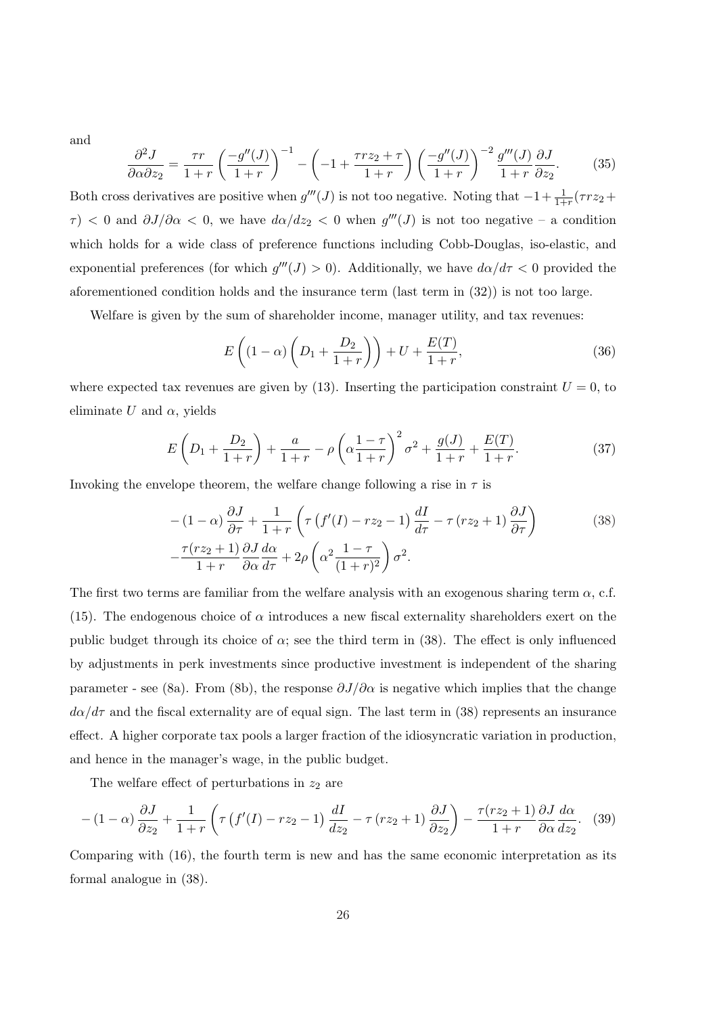and

$$
\frac{\partial^2 J}{\partial \alpha \partial z_2} = \frac{\tau r}{1+r} \left( \frac{-g''(J)}{1+r} \right)^{-1} - \left( -1 + \frac{\tau r z_2 + \tau}{1+r} \right) \left( \frac{-g''(J)}{1+r} \right)^{-2} \frac{g'''(J)}{1+r} \frac{\partial J}{\partial z_2}.
$$
(35)

Both cross derivatives are positive when  $g'''(J)$  is not too negative. Noting that  $-1+\frac{1}{1+r}(\tau r z_2 +$  $\tau$ ) < 0 and  $\partial J/\partial \alpha$  < 0, we have  $d\alpha/dz_2$  < 0 when  $g'''(J)$  is not too negative – a condition which holds for a wide class of preference functions including Cobb-Douglas, iso-elastic, and exponential preferences (for which  $g'''(J) > 0$ ). Additionally, we have  $d\alpha/d\tau < 0$  provided the aforementioned condition holds and the insurance term (last term in (32)) is not too large.

Welfare is given by the sum of shareholder income, manager utility, and tax revenues:

$$
E\left((1-\alpha)\left(D_1+\frac{D_2}{1+r}\right)\right)+U+\frac{E(T)}{1+r},\tag{36}
$$

where expected tax revenues are given by (13). Inserting the participation constraint  $U = 0$ , to eliminate U and  $\alpha$ , yields

$$
E\left(D_1 + \frac{D_2}{1+r}\right) + \frac{a}{1+r} - \rho \left(\alpha \frac{1-\tau}{1+r}\right)^2 \sigma^2 + \frac{g(J)}{1+r} + \frac{E(T)}{1+r}.\tag{37}
$$

Invoking the envelope theorem, the welfare change following a rise in  $\tau$  is

$$
-(1-\alpha)\frac{\partial J}{\partial \tau} + \frac{1}{1+r} \left( \tau \left( f'(I) - r z_2 - 1 \right) \frac{dI}{d\tau} - \tau \left( r z_2 + 1 \right) \frac{\partial J}{\partial \tau} \right)
$$
\n
$$
-\frac{\tau (r z_2 + 1)}{1+r} \frac{\partial J}{\partial \alpha} \frac{d\alpha}{d\tau} + 2\rho \left( \alpha^2 \frac{1-\tau}{(1+r)^2} \right) \sigma^2.
$$
\n(38)

The first two terms are familiar from the welfare analysis with an exogenous sharing term  $\alpha$ , c.f. (15). The endogenous choice of  $\alpha$  introduces a new fiscal externality shareholders exert on the public budget through its choice of  $\alpha$ ; see the third term in (38). The effect is only influenced by adjustments in perk investments since productive investment is independent of the sharing parameter - see (8a). From (8b), the response  $\partial J/\partial \alpha$  is negative which implies that the change  $d\alpha/d\tau$  and the fiscal externality are of equal sign. The last term in (38) represents an insurance effect. A higher corporate tax pools a larger fraction of the idiosyncratic variation in production, and hence in the manager's wage, in the public budget.

The welfare effect of perturbations in  $z_2$  are

$$
-(1-\alpha)\frac{\partial J}{\partial z_2} + \frac{1}{1+r} \left( \tau \left( f'(I) - rz_2 - 1 \right) \frac{dI}{dz_2} - \tau \left( rz_2 + 1 \right) \frac{\partial J}{\partial z_2} \right) - \frac{\tau (rz_2 + 1)}{1+r} \frac{\partial J}{\partial \alpha} \frac{d\alpha}{dz_2}.
$$
 (39)

Comparing with (16), the fourth term is new and has the same economic interpretation as its formal analogue in (38).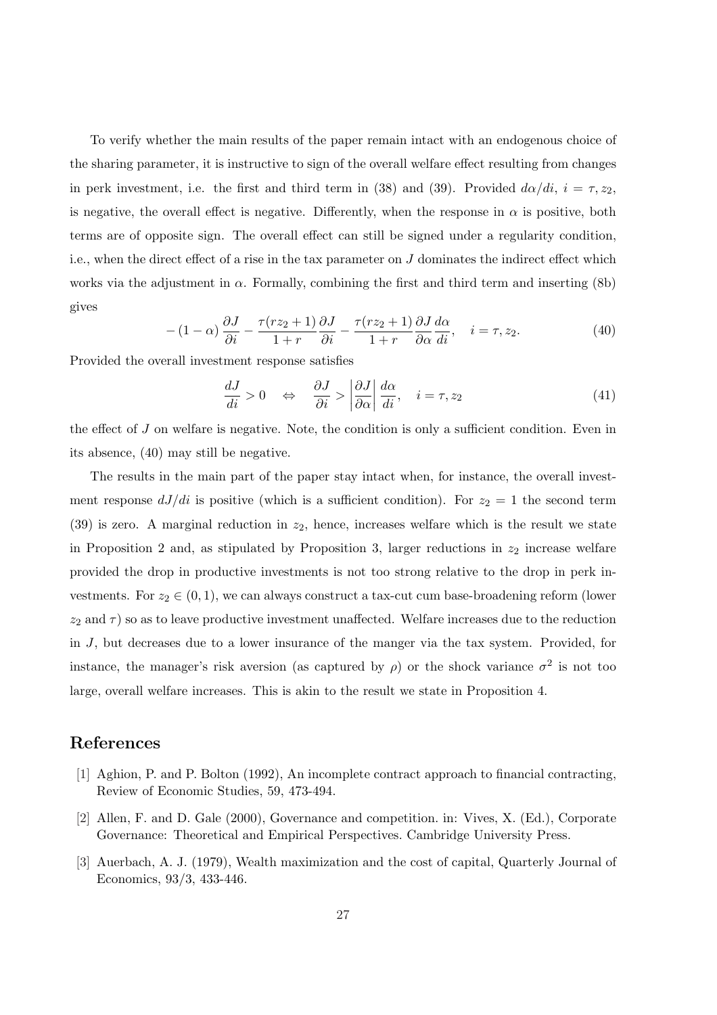To verify whether the main results of the paper remain intact with an endogenous choice of the sharing parameter, it is instructive to sign of the overall welfare effect resulting from changes in perk investment, i.e. the first and third term in (38) and (39). Provided  $d\alpha/di$ ,  $i = \tau, z_2$ , is negative, the overall effect is negative. Differently, when the response in  $\alpha$  is positive, both terms are of opposite sign. The overall effect can still be signed under a regularity condition, i.e., when the direct effect of a rise in the tax parameter on J dominates the indirect effect which works via the adjustment in  $\alpha$ . Formally, combining the first and third term and inserting (8b) gives

$$
-(1-\alpha)\frac{\partial J}{\partial i} - \frac{\tau(rz_2+1)}{1+r}\frac{\partial J}{\partial i} - \frac{\tau(rz_2+1)}{1+r}\frac{\partial J}{\partial \alpha}\frac{d\alpha}{di}, \quad i = \tau, z_2.
$$
 (40)

Provided the overall investment response satisfies

$$
\frac{dJ}{di} > 0 \quad \Leftrightarrow \quad \frac{\partial J}{\partial i} > \left| \frac{\partial J}{\partial \alpha} \right| \frac{d\alpha}{di}, \quad i = \tau, z_2 \tag{41}
$$

the effect of J on welfare is negative. Note, the condition is only a sufficient condition. Even in its absence, (40) may still be negative.

The results in the main part of the paper stay intact when, for instance, the overall investment response  $dJ/di$  is positive (which is a sufficient condition). For  $z_2 = 1$  the second term (39) is zero. A marginal reduction in  $z_2$ , hence, increases welfare which is the result we state in Proposition 2 and, as stipulated by Proposition 3, larger reductions in  $z_2$  increase welfare provided the drop in productive investments is not too strong relative to the drop in perk investments. For  $z_2 \in (0,1)$ , we can always construct a tax-cut cum base-broadening reform (lower  $z_2$  and  $\tau$ ) so as to leave productive investment unaffected. Welfare increases due to the reduction in J, but decreases due to a lower insurance of the manger via the tax system. Provided, for instance, the manager's risk aversion (as captured by  $\rho$ ) or the shock variance  $\sigma^2$  is not too large, overall welfare increases. This is akin to the result we state in Proposition 4.

#### References

- [1] Aghion, P. and P. Bolton (1992), An incomplete contract approach to financial contracting, Review of Economic Studies, 59, 473-494.
- [2] Allen, F. and D. Gale (2000), Governance and competition. in: Vives, X. (Ed.), Corporate Governance: Theoretical and Empirical Perspectives. Cambridge University Press.
- [3] Auerbach, A. J. (1979), Wealth maximization and the cost of capital, Quarterly Journal of Economics, 93/3, 433-446.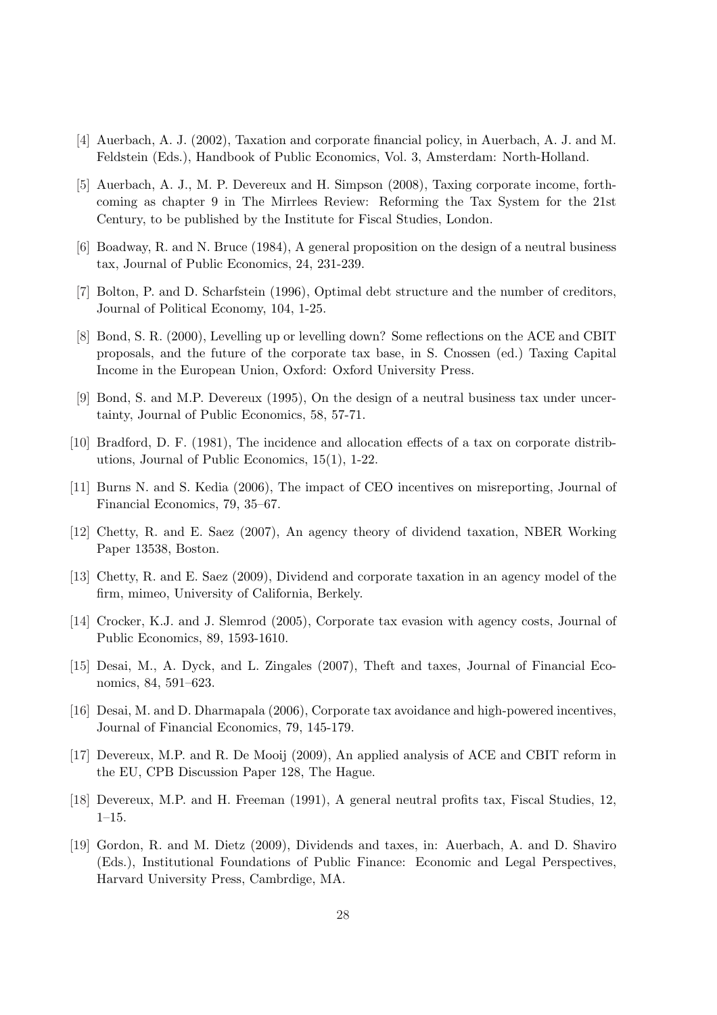- [4] Auerbach, A. J. (2002), Taxation and corporate financial policy, in Auerbach, A. J. and M. Feldstein (Eds.), Handbook of Public Economics, Vol. 3, Amsterdam: North-Holland.
- [5] Auerbach, A. J., M. P. Devereux and H. Simpson (2008), Taxing corporate income, forthcoming as chapter 9 in The Mirrlees Review: Reforming the Tax System for the 21st Century, to be published by the Institute for Fiscal Studies, London.
- [6] Boadway, R. and N. Bruce (1984), A general proposition on the design of a neutral business tax, Journal of Public Economics, 24, 231-239.
- [7] Bolton, P. and D. Scharfstein (1996), Optimal debt structure and the number of creditors, Journal of Political Economy, 104, 1-25.
- [8] Bond, S. R. (2000), Levelling up or levelling down? Some reflections on the ACE and CBIT proposals, and the future of the corporate tax base, in S. Cnossen (ed.) Taxing Capital Income in the European Union, Oxford: Oxford University Press.
- [9] Bond, S. and M.P. Devereux (1995), On the design of a neutral business tax under uncertainty, Journal of Public Economics, 58, 57-71.
- [10] Bradford, D. F. (1981), The incidence and allocation effects of a tax on corporate distributions, Journal of Public Economics, 15(1), 1-22.
- [11] Burns N. and S. Kedia (2006), The impact of CEO incentives on misreporting, Journal of Financial Economics, 79, 35–67.
- [12] Chetty, R. and E. Saez (2007), An agency theory of dividend taxation, NBER Working Paper 13538, Boston.
- [13] Chetty, R. and E. Saez (2009), Dividend and corporate taxation in an agency model of the firm, mimeo, University of California, Berkely.
- [14] Crocker, K.J. and J. Slemrod (2005), Corporate tax evasion with agency costs, Journal of Public Economics, 89, 1593-1610.
- [15] Desai, M., A. Dyck, and L. Zingales (2007), Theft and taxes, Journal of Financial Economics, 84, 591–623.
- [16] Desai, M. and D. Dharmapala (2006), Corporate tax avoidance and high-powered incentives, Journal of Financial Economics, 79, 145-179.
- [17] Devereux, M.P. and R. De Mooij (2009), An applied analysis of ACE and CBIT reform in the EU, CPB Discussion Paper 128, The Hague.
- [18] Devereux, M.P. and H. Freeman (1991), A general neutral profits tax, Fiscal Studies, 12, 1–15.
- [19] Gordon, R. and M. Dietz (2009), Dividends and taxes, in: Auerbach, A. and D. Shaviro (Eds.), Institutional Foundations of Public Finance: Economic and Legal Perspectives, Harvard University Press, Cambrdige, MA.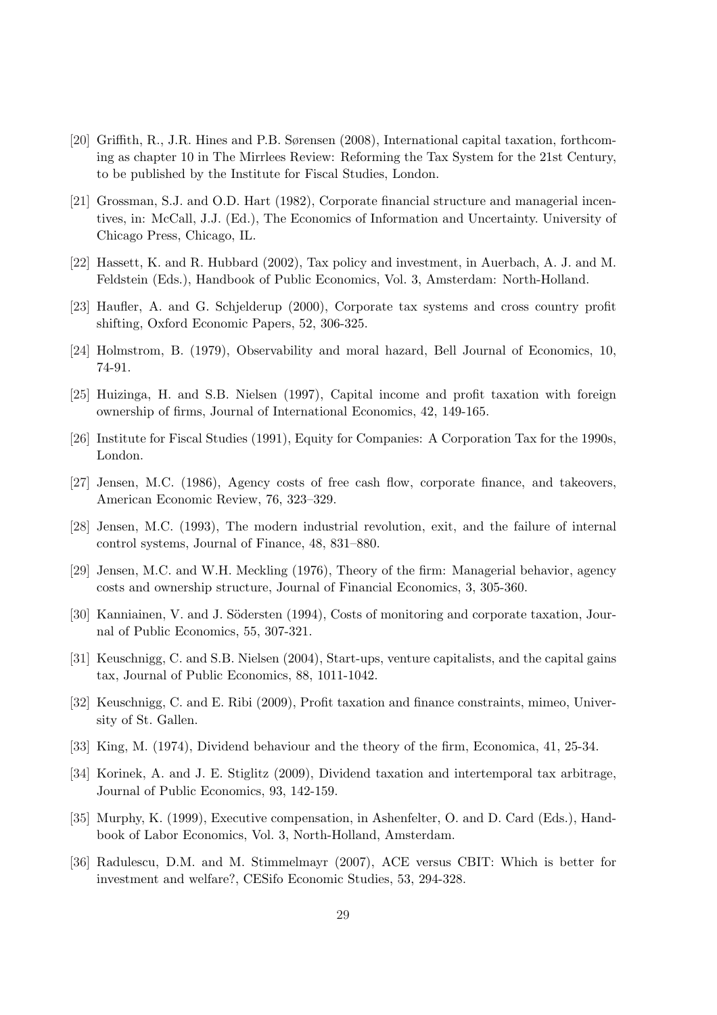- [20] Griffith, R., J.R. Hines and P.B. Sørensen (2008), International capital taxation, forthcoming as chapter 10 in The Mirrlees Review: Reforming the Tax System for the 21st Century, to be published by the Institute for Fiscal Studies, London.
- [21] Grossman, S.J. and O.D. Hart (1982), Corporate financial structure and managerial incentives, in: McCall, J.J. (Ed.), The Economics of Information and Uncertainty. University of Chicago Press, Chicago, IL.
- [22] Hassett, K. and R. Hubbard (2002), Tax policy and investment, in Auerbach, A. J. and M. Feldstein (Eds.), Handbook of Public Economics, Vol. 3, Amsterdam: North-Holland.
- [23] Haufler, A. and G. Schjelderup (2000), Corporate tax systems and cross country profit shifting, Oxford Economic Papers, 52, 306-325.
- [24] Holmstrom, B. (1979), Observability and moral hazard, Bell Journal of Economics, 10, 74-91.
- [25] Huizinga, H. and S.B. Nielsen (1997), Capital income and profit taxation with foreign ownership of firms, Journal of International Economics, 42, 149-165.
- [26] Institute for Fiscal Studies (1991), Equity for Companies: A Corporation Tax for the 1990s, London.
- [27] Jensen, M.C. (1986), Agency costs of free cash flow, corporate finance, and takeovers, American Economic Review, 76, 323–329.
- [28] Jensen, M.C. (1993), The modern industrial revolution, exit, and the failure of internal control systems, Journal of Finance, 48, 831–880.
- [29] Jensen, M.C. and W.H. Meckling (1976), Theory of the firm: Managerial behavior, agency costs and ownership structure, Journal of Financial Economics, 3, 305-360.
- [30] Kanniainen, V. and J. Södersten (1994), Costs of monitoring and corporate taxation, Journal of Public Economics, 55, 307-321.
- [31] Keuschnigg, C. and S.B. Nielsen (2004), Start-ups, venture capitalists, and the capital gains tax, Journal of Public Economics, 88, 1011-1042.
- [32] Keuschnigg, C. and E. Ribi (2009), Profit taxation and finance constraints, mimeo, University of St. Gallen.
- [33] King, M. (1974), Dividend behaviour and the theory of the firm, Economica, 41, 25-34.
- [34] Korinek, A. and J. E. Stiglitz (2009), Dividend taxation and intertemporal tax arbitrage, Journal of Public Economics, 93, 142-159.
- [35] Murphy, K. (1999), Executive compensation, in Ashenfelter, O. and D. Card (Eds.), Handbook of Labor Economics, Vol. 3, North-Holland, Amsterdam.
- [36] Radulescu, D.M. and M. Stimmelmayr (2007), ACE versus CBIT: Which is better for investment and welfare?, CESifo Economic Studies, 53, 294-328.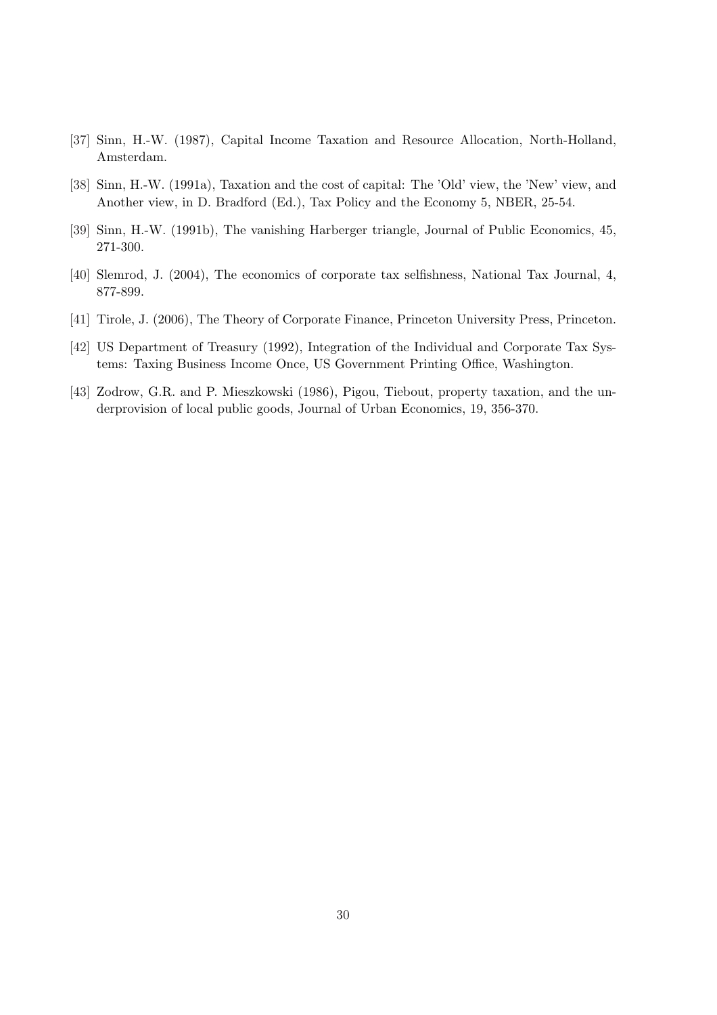- [37] Sinn, H.-W. (1987), Capital Income Taxation and Resource Allocation, North-Holland, Amsterdam.
- [38] Sinn, H.-W. (1991a), Taxation and the cost of capital: The 'Old' view, the 'New' view, and Another view, in D. Bradford (Ed.), Tax Policy and the Economy 5, NBER, 25-54.
- [39] Sinn, H.-W. (1991b), The vanishing Harberger triangle, Journal of Public Economics, 45, 271-300.
- [40] Slemrod, J. (2004), The economics of corporate tax selfishness, National Tax Journal, 4, 877-899.
- [41] Tirole, J. (2006), The Theory of Corporate Finance, Princeton University Press, Princeton.
- [42] US Department of Treasury (1992), Integration of the Individual and Corporate Tax Systems: Taxing Business Income Once, US Government Printing Office, Washington.
- [43] Zodrow, G.R. and P. Mieszkowski (1986), Pigou, Tiebout, property taxation, and the underprovision of local public goods, Journal of Urban Economics, 19, 356-370.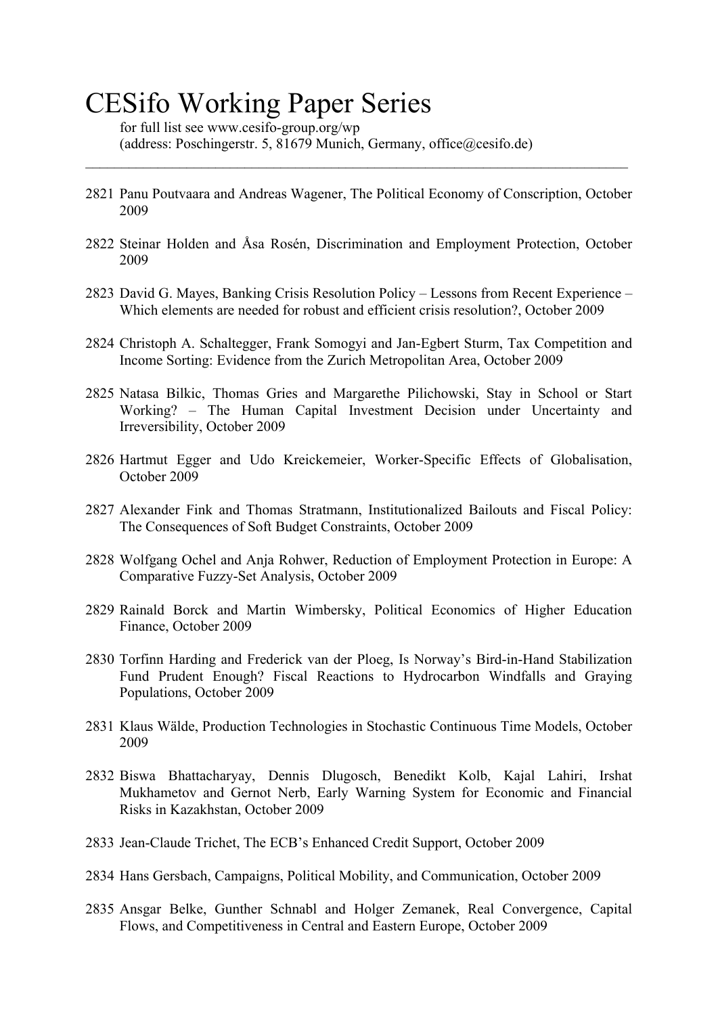# CESifo Working Paper Series

for full list see www.cesifo-group.org/wp (address: Poschingerstr. 5, 81679 Munich, Germany, office@cesifo.de)

2821 Panu Poutvaara and Andreas Wagener, The Political Economy of Conscription, October 2009

 $\_$  , and the contribution of the contribution of the contribution of the contribution of  $\mathcal{L}_\text{max}$ 

- 2822 Steinar Holden and Åsa Rosén, Discrimination and Employment Protection, October 2009
- 2823 David G. Mayes, Banking Crisis Resolution Policy Lessons from Recent Experience Which elements are needed for robust and efficient crisis resolution?, October 2009
- 2824 Christoph A. Schaltegger, Frank Somogyi and Jan-Egbert Sturm, Tax Competition and Income Sorting: Evidence from the Zurich Metropolitan Area, October 2009
- 2825 Natasa Bilkic, Thomas Gries and Margarethe Pilichowski, Stay in School or Start Working? – The Human Capital Investment Decision under Uncertainty and Irreversibility, October 2009
- 2826 Hartmut Egger and Udo Kreickemeier, Worker-Specific Effects of Globalisation, October 2009
- 2827 Alexander Fink and Thomas Stratmann, Institutionalized Bailouts and Fiscal Policy: The Consequences of Soft Budget Constraints, October 2009
- 2828 Wolfgang Ochel and Anja Rohwer, Reduction of Employment Protection in Europe: A Comparative Fuzzy-Set Analysis, October 2009
- 2829 Rainald Borck and Martin Wimbersky, Political Economics of Higher Education Finance, October 2009
- 2830 Torfinn Harding and Frederick van der Ploeg, Is Norway's Bird-in-Hand Stabilization Fund Prudent Enough? Fiscal Reactions to Hydrocarbon Windfalls and Graying Populations, October 2009
- 2831 Klaus Wälde, Production Technologies in Stochastic Continuous Time Models, October 2009
- 2832 Biswa Bhattacharyay, Dennis Dlugosch, Benedikt Kolb, Kajal Lahiri, Irshat Mukhametov and Gernot Nerb, Early Warning System for Economic and Financial Risks in Kazakhstan, October 2009
- 2833 Jean-Claude Trichet, The ECB's Enhanced Credit Support, October 2009
- 2834 Hans Gersbach, Campaigns, Political Mobility, and Communication, October 2009
- 2835 Ansgar Belke, Gunther Schnabl and Holger Zemanek, Real Convergence, Capital Flows, and Competitiveness in Central and Eastern Europe, October 2009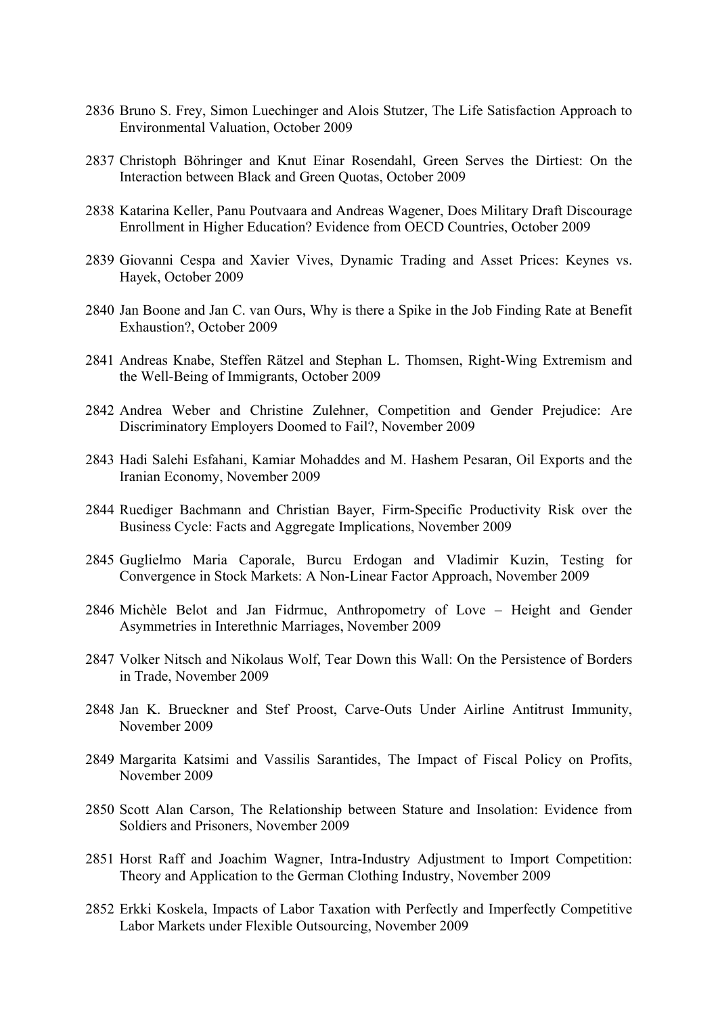- 2836 Bruno S. Frey, Simon Luechinger and Alois Stutzer, The Life Satisfaction Approach to Environmental Valuation, October 2009
- 2837 Christoph Böhringer and Knut Einar Rosendahl, Green Serves the Dirtiest: On the Interaction between Black and Green Quotas, October 2009
- 2838 Katarina Keller, Panu Poutvaara and Andreas Wagener, Does Military Draft Discourage Enrollment in Higher Education? Evidence from OECD Countries, October 2009
- 2839 Giovanni Cespa and Xavier Vives, Dynamic Trading and Asset Prices: Keynes vs. Hayek, October 2009
- 2840 Jan Boone and Jan C. van Ours, Why is there a Spike in the Job Finding Rate at Benefit Exhaustion?, October 2009
- 2841 Andreas Knabe, Steffen Rätzel and Stephan L. Thomsen, Right-Wing Extremism and the Well-Being of Immigrants, October 2009
- 2842 Andrea Weber and Christine Zulehner, Competition and Gender Prejudice: Are Discriminatory Employers Doomed to Fail?, November 2009
- 2843 Hadi Salehi Esfahani, Kamiar Mohaddes and M. Hashem Pesaran, Oil Exports and the Iranian Economy, November 2009
- 2844 Ruediger Bachmann and Christian Bayer, Firm-Specific Productivity Risk over the Business Cycle: Facts and Aggregate Implications, November 2009
- 2845 Guglielmo Maria Caporale, Burcu Erdogan and Vladimir Kuzin, Testing for Convergence in Stock Markets: A Non-Linear Factor Approach, November 2009
- 2846 Michèle Belot and Jan Fidrmuc, Anthropometry of Love Height and Gender Asymmetries in Interethnic Marriages, November 2009
- 2847 Volker Nitsch and Nikolaus Wolf, Tear Down this Wall: On the Persistence of Borders in Trade, November 2009
- 2848 Jan K. Brueckner and Stef Proost, Carve-Outs Under Airline Antitrust Immunity, November 2009
- 2849 Margarita Katsimi and Vassilis Sarantides, The Impact of Fiscal Policy on Profits, November 2009
- 2850 Scott Alan Carson, The Relationship between Stature and Insolation: Evidence from Soldiers and Prisoners, November 2009
- 2851 Horst Raff and Joachim Wagner, Intra-Industry Adjustment to Import Competition: Theory and Application to the German Clothing Industry, November 2009
- 2852 Erkki Koskela, Impacts of Labor Taxation with Perfectly and Imperfectly Competitive Labor Markets under Flexible Outsourcing, November 2009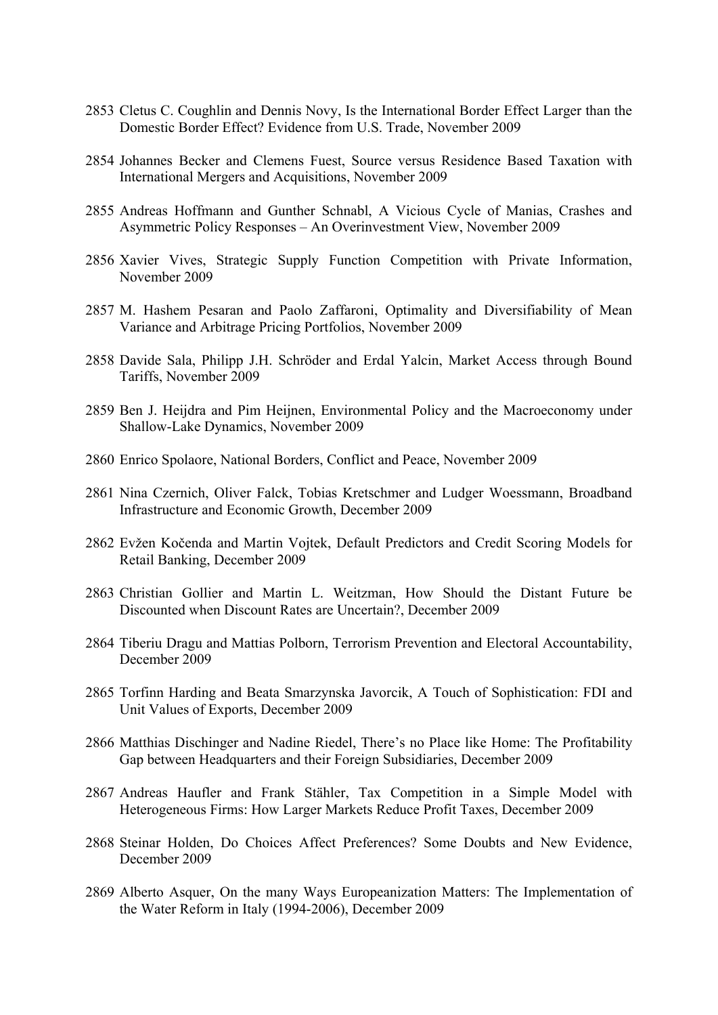- 2853 Cletus C. Coughlin and Dennis Novy, Is the International Border Effect Larger than the Domestic Border Effect? Evidence from U.S. Trade, November 2009
- 2854 Johannes Becker and Clemens Fuest, Source versus Residence Based Taxation with International Mergers and Acquisitions, November 2009
- 2855 Andreas Hoffmann and Gunther Schnabl, A Vicious Cycle of Manias, Crashes and Asymmetric Policy Responses – An Overinvestment View, November 2009
- 2856 Xavier Vives, Strategic Supply Function Competition with Private Information, November 2009
- 2857 M. Hashem Pesaran and Paolo Zaffaroni, Optimality and Diversifiability of Mean Variance and Arbitrage Pricing Portfolios, November 2009
- 2858 Davide Sala, Philipp J.H. Schröder and Erdal Yalcin, Market Access through Bound Tariffs, November 2009
- 2859 Ben J. Heijdra and Pim Heijnen, Environmental Policy and the Macroeconomy under Shallow-Lake Dynamics, November 2009
- 2860 Enrico Spolaore, National Borders, Conflict and Peace, November 2009
- 2861 Nina Czernich, Oliver Falck, Tobias Kretschmer and Ludger Woessmann, Broadband Infrastructure and Economic Growth, December 2009
- 2862 Evžen Kočenda and Martin Vojtek, Default Predictors and Credit Scoring Models for Retail Banking, December 2009
- 2863 Christian Gollier and Martin L. Weitzman, How Should the Distant Future be Discounted when Discount Rates are Uncertain?, December 2009
- 2864 Tiberiu Dragu and Mattias Polborn, Terrorism Prevention and Electoral Accountability, December 2009
- 2865 Torfinn Harding and Beata Smarzynska Javorcik, A Touch of Sophistication: FDI and Unit Values of Exports, December 2009
- 2866 Matthias Dischinger and Nadine Riedel, There's no Place like Home: The Profitability Gap between Headquarters and their Foreign Subsidiaries, December 2009
- 2867 Andreas Haufler and Frank Stähler, Tax Competition in a Simple Model with Heterogeneous Firms: How Larger Markets Reduce Profit Taxes, December 2009
- 2868 Steinar Holden, Do Choices Affect Preferences? Some Doubts and New Evidence, December 2009
- 2869 Alberto Asquer, On the many Ways Europeanization Matters: The Implementation of the Water Reform in Italy (1994-2006), December 2009